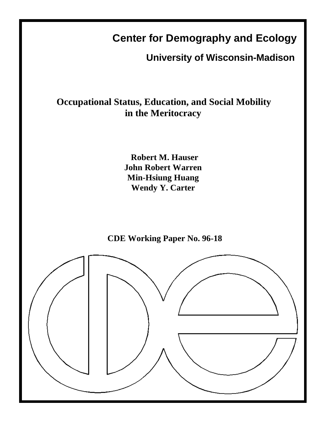# **Center for Demography and Ecology**

**University of Wisconsin-Madison**

## **Occupational Status, Education, and Social Mobility in the Meritocracy**

**Robert M. Hauser John Robert Warren Min-Hsiung Huang Wendy Y. Carter**



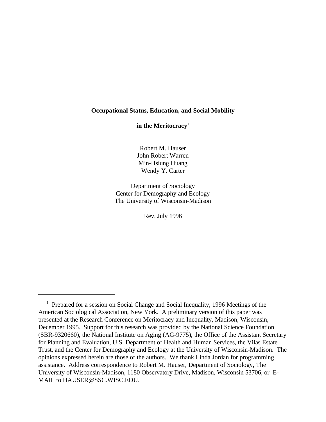## **Occupational Status, Education, and Social Mobility**

**in the Meritocracy**<sup>1</sup>

Robert M. Hauser John Robert Warren Min-Hsiung Huang Wendy Y. Carter

Department of Sociology Center for Demography and Ecology The University of Wisconsin-Madison

Rev. July 1996

<sup>&</sup>lt;sup>1</sup> Prepared for a session on Social Change and Social Inequality, 1996 Meetings of the American Sociological Association, New York. A preliminary version of this paper was presented at the Research Conference on Meritocracy and Inequality, Madison, Wisconsin, December 1995. Support for this research was provided by the National Science Foundation (SBR-9320660), the National Institute on Aging (AG-9775), the Office of the Assistant Secretary for Planning and Evaluation, U.S. Department of Health and Human Services, the Vilas Estate Trust, and the Center for Demography and Ecology at the University of Wisconsin-Madison. The opinions expressed herein are those of the authors. We thank Linda Jordan for programming assistance. Address correspondence to Robert M. Hauser, Department of Sociology, The University of Wisconsin-Madison, 1180 Observatory Drive, Madison, Wisconsin 53706, or E-MAIL to HAUSER@SSC.WISC.EDU.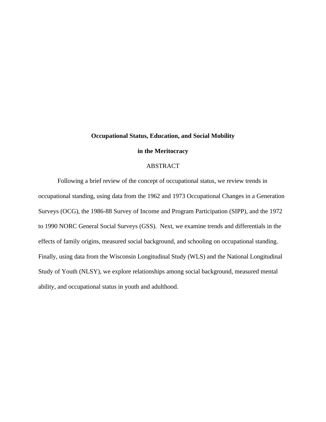## **Occupational Status, Education, and Social Mobility**

## **in the Meritocracy**

## ABSTRACT

Following a brief review of the concept of occupational status, we review trends in occupational standing, using data from the 1962 and 1973 Occupational Changes in a Generation Surveys (OCG), the 1986-88 Survey of Income and Program Participation (SIPP), and the 1972 to 1990 NORC General Social Surveys (GSS). Next, we examine trends and differentials in the effects of family origins, measured social background, and schooling on occupational standing. Finally, using data from the Wisconsin Longitudinal Study (WLS) and the National Longitudinal Study of Youth (NLSY), we explore relationships among social background, measured mental ability, and occupational status in youth and adulthood.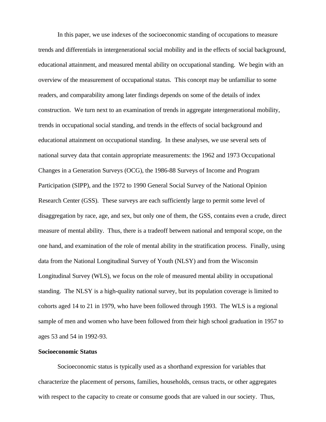In this paper, we use indexes of the socioeconomic standing of occupations to measure trends and differentials in intergenerational social mobility and in the effects of social background, educational attainment, and measured mental ability on occupational standing. We begin with an overview of the measurement of occupational status. This concept may be unfamiliar to some readers, and comparability among later findings depends on some of the details of index construction. We turn next to an examination of trends in aggregate intergenerational mobility, trends in occupational social standing, and trends in the effects of social background and educational attainment on occupational standing. In these analyses, we use several sets of national survey data that contain appropriate measurements: the 1962 and 1973 Occupational Changes in a Generation Surveys (OCG), the 1986-88 Surveys of Income and Program Participation (SIPP), and the 1972 to 1990 General Social Survey of the National Opinion Research Center (GSS). These surveys are each sufficiently large to permit some level of disaggregation by race, age, and sex, but only one of them, the GSS, contains even a crude, direct measure of mental ability. Thus, there is a tradeoff between national and temporal scope, on the one hand, and examination of the role of mental ability in the stratification process. Finally, using data from the National Longitudinal Survey of Youth (NLSY) and from the Wisconsin Longitudinal Survey (WLS), we focus on the role of measured mental ability in occupational standing. The NLSY is a high-quality national survey, but its population coverage is limited to cohorts aged 14 to 21 in 1979, who have been followed through 1993. The WLS is a regional sample of men and women who have been followed from their high school graduation in 1957 to ages 53 and 54 in 1992-93.

## **Socioeconomic Status**

Socioeconomic status is typically used as a shorthand expression for variables that characterize the placement of persons, families, households, census tracts, or other aggregates with respect to the capacity to create or consume goods that are valued in our society. Thus,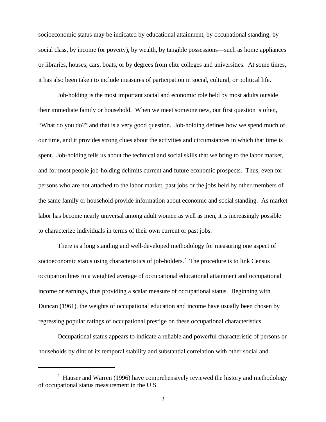socioeconomic status may be indicated by educational attainment, by occupational standing, by social class, by income (or poverty), by wealth, by tangible possessions—such as home appliances or libraries, houses, cars, boats, or by degrees from elite colleges and universities. At some times, it has also been taken to include measures of participation in social, cultural, or political life.

Job-holding is the most important social and economic role held by most adults outside their immediate family or household. When we meet someone new, our first question is often, "What do you do?" and that is a very good question. Job-holding defines how we spend much of our time, and it provides strong clues about the activities and circumstances in which that time is spent. Job-holding tells us about the technical and social skills that we bring to the labor market, and for most people job-holding delimits current and future economic prospects. Thus, even for persons who are not attached to the labor market, past jobs or the jobs held by other members of the same family or household provide information about economic and social standing. As market labor has become nearly universal among adult women as well as men, it is increasingly possible to characterize individuals in terms of their own current or past jobs.

There is a long standing and well-developed methodology for measuring one aspect of socioeconomic status using characteristics of job-holders.<sup>2</sup> The procedure is to link Census occupation lines to a weighted average of occupational educational attainment and occupational income or earnings, thus providing a scalar measure of occupational status. Beginning with Duncan (1961), the weights of occupational education and income have usually been chosen by regressing popular ratings of occupational prestige on these occupational characteristics.

Occupational status appears to indicate a reliable and powerful characteristic of persons or households by dint of its temporal stability and substantial correlation with other social and

 $\mu$ <sup>2</sup> Hauser and Warren (1996) have comprehensively reviewed the history and methodology of occupational status measurement in the U.S.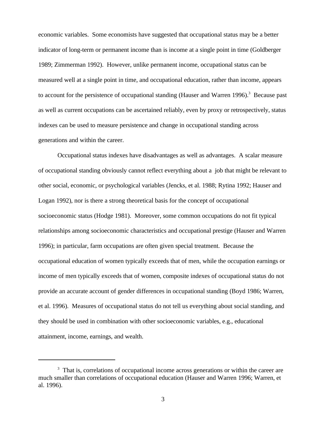economic variables. Some economists have suggested that occupational status may be a better indicator of long-term or permanent income than is income at a single point in time (Goldberger 1989; Zimmerman 1992). However, unlike permanent income, occupational status can be measured well at a single point in time, and occupational education, rather than income, appears to account for the persistence of occupational standing (Hauser and Warren 1996).<sup>3</sup> Because past as well as current occupations can be ascertained reliably, even by proxy or retrospectively, status indexes can be used to measure persistence and change in occupational standing across generations and within the career.

Occupational status indexes have disadvantages as well as advantages. A scalar measure of occupational standing obviously cannot reflect everything about a job that might be relevant to other social, economic, or psychological variables (Jencks, et al. 1988; Rytina 1992; Hauser and Logan 1992), nor is there a strong theoretical basis for the concept of occupational socioeconomic status (Hodge 1981). Moreover, some common occupations do not fit typical relationships among socioeconomic characteristics and occupational prestige (Hauser and Warren 1996); in particular, farm occupations are often given special treatment. Because the occupational education of women typically exceeds that of men, while the occupation earnings or income of men typically exceeds that of women, composite indexes of occupational status do not provide an accurate account of gender differences in occupational standing (Boyd 1986; Warren, et al. 1996). Measures of occupational status do not tell us everything about social standing, and they should be used in combination with other socioeconomic variables, e.g., educational attainment, income, earnings, and wealth.

 $3$  That is, correlations of occupational income across generations or within the career are much smaller than correlations of occupational education (Hauser and Warren 1996; Warren, et al. 1996).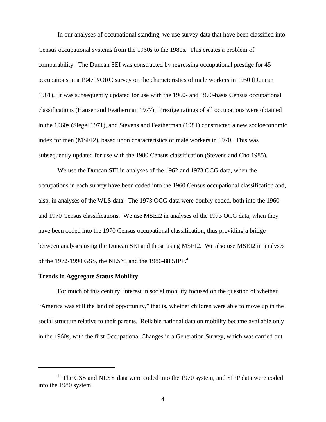In our analyses of occupational standing, we use survey data that have been classified into Census occupational systems from the 1960s to the 1980s. This creates a problem of comparability. The Duncan SEI was constructed by regressing occupational prestige for 45 occupations in a 1947 NORC survey on the characteristics of male workers in 1950 (Duncan 1961). It was subsequently updated for use with the 1960- and 1970-basis Census occupational classifications (Hauser and Featherman 1977). Prestige ratings of all occupations were obtained in the 1960s (Siegel 1971), and Stevens and Featherman (1981) constructed a new socioeconomic index for men (MSEI2), based upon characteristics of male workers in 1970. This was subsequently updated for use with the 1980 Census classification (Stevens and Cho 1985).

We use the Duncan SEI in analyses of the 1962 and 1973 OCG data, when the occupations in each survey have been coded into the 1960 Census occupational classification and, also, in analyses of the WLS data. The 1973 OCG data were doubly coded, both into the 1960 and 1970 Census classifications. We use MSEI2 in analyses of the 1973 OCG data, when they have been coded into the 1970 Census occupational classification, thus providing a bridge between analyses using the Duncan SEI and those using MSEI2. We also use MSEI2 in analyses of the 1972-1990 GSS, the NLSY, and the 1986-88 SIPP.<sup>4</sup>

## **Trends in Aggregate Status Mobility**

For much of this century, interest in social mobility focused on the question of whether "America was still the land of opportunity," that is, whether children were able to move up in the social structure relative to their parents. Reliable national data on mobility became available only in the 1960s, with the first Occupational Changes in a Generation Survey, which was carried out

<sup>&</sup>lt;sup>4</sup> The GSS and NLSY data were coded into the 1970 system, and SIPP data were coded into the 1980 system.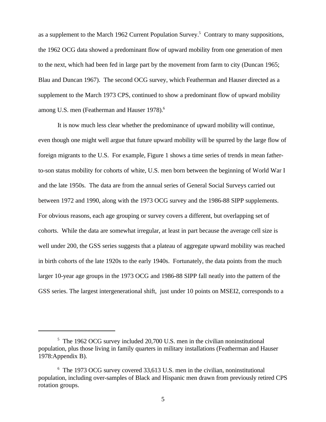as a supplement to the March 1962 Current Population Survey.<sup>5</sup> Contrary to many suppositions, the 1962 OCG data showed a predominant flow of upward mobility from one generation of men to the next, which had been fed in large part by the movement from farm to city (Duncan 1965; Blau and Duncan 1967). The second OCG survey, which Featherman and Hauser directed as a supplement to the March 1973 CPS, continued to show a predominant flow of upward mobility among U.S. men (Featherman and Hauser 1978).<sup>6</sup>

It is now much less clear whether the predominance of upward mobility will continue, even though one might well argue that future upward mobility will be spurred by the large flow of foreign migrants to the U.S. For example, Figure 1 shows a time series of trends in mean fatherto-son status mobility for cohorts of white, U.S. men born between the beginning of World War I and the late 1950s. The data are from the annual series of General Social Surveys carried out between 1972 and 1990, along with the 1973 OCG survey and the 1986-88 SIPP supplements. For obvious reasons, each age grouping or survey covers a different, but overlapping set of cohorts. While the data are somewhat irregular, at least in part because the average cell size is well under 200, the GSS series suggests that a plateau of aggregate upward mobility was reached in birth cohorts of the late 1920s to the early 1940s. Fortunately, the data points from the much larger 10-year age groups in the 1973 OCG and 1986-88 SIPP fall neatly into the pattern of the GSS series. The largest intergenerational shift, just under 10 points on MSEI2, corresponds to a

 $5$  The 1962 OCG survey included 20,700 U.S. men in the civilian noninstitutional population, plus those living in family quarters in military installations (Featherman and Hauser 1978:Appendix B).

 $6$  The 1973 OCG survey covered 33,613 U.S. men in the civilian, noninstitutional population, including over-samples of Black and Hispanic men drawn from previously retired CPS rotation groups.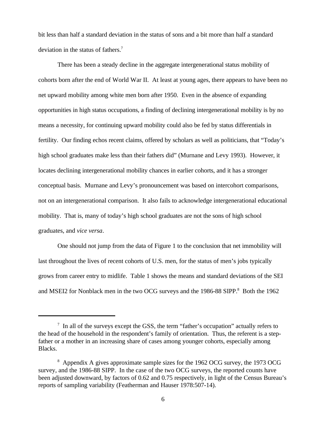bit less than half a standard deviation in the status of sons and a bit more than half a standard deviation in the status of fathers.<sup>7</sup>

There has been a steady decline in the aggregate intergenerational status mobility of cohorts born after the end of World War II. At least at young ages, there appears to have been no net upward mobility among white men born after 1950. Even in the absence of expanding opportunities in high status occupations, a finding of declining intergenerational mobility is by no means a necessity, for continuing upward mobility could also be fed by status differentials in fertility. Our finding echos recent claims, offered by scholars as well as politicians, that "Today's high school graduates make less than their fathers did" (Murnane and Levy 1993). However, it locates declining intergenerational mobility chances in earlier cohorts, and it has a stronger conceptual basis. Murnane and Levy's pronouncement was based on intercohort comparisons, not on an intergenerational comparison. It also fails to acknowledge intergenerational educational mobility. That is, many of today's high school graduates are not the sons of high school graduates, and *vice versa*.

One should not jump from the data of Figure 1 to the conclusion that net immobility will last throughout the lives of recent cohorts of U.S. men, for the status of men's jobs typically grows from career entry to midlife. Table 1 shows the means and standard deviations of the SEI and MSEI2 for Nonblack men in the two OCG surveys and the 1986-88 SIPP.<sup>8</sup> Both the 1962

 $\frac{1}{1}$  In all of the surveys except the GSS, the term "father's occupation" actually refers to the head of the household in the respondent's family of orientation. Thus, the referent is a stepfather or a mother in an increasing share of cases among younger cohorts, especially among Blacks.

<sup>&</sup>lt;sup>8</sup> Appendix A gives approximate sample sizes for the 1962 OCG survey, the 1973 OCG survey, and the 1986-88 SIPP. In the case of the two OCG surveys, the reported counts have been adjusted downward, by factors of 0.62 and 0.75 respectively, in light of the Census Bureau's reports of sampling variability (Featherman and Hauser 1978:507-14).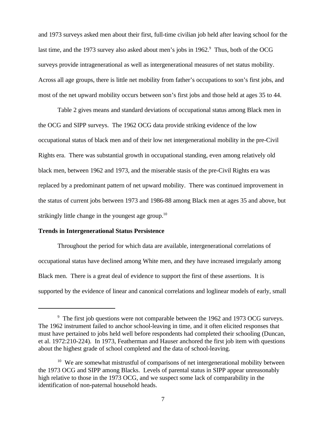and 1973 surveys asked men about their first, full-time civilian job held after leaving school for the last time, and the 1973 survey also asked about men's jobs in 1962.<sup>9</sup> Thus, both of the OCG surveys provide intragenerational as well as intergenerational measures of net status mobility. Across all age groups, there is little net mobility from father's occupations to son's first jobs, and most of the net upward mobility occurs between son's first jobs and those held at ages 35 to 44.

Table 2 gives means and standard deviations of occupational status among Black men in the OCG and SIPP surveys. The 1962 OCG data provide striking evidence of the low occupational status of black men and of their low net intergenerational mobility in the pre-Civil Rights era. There was substantial growth in occupational standing, even among relatively old black men, between 1962 and 1973, and the miserable stasis of the pre-Civil Rights era was replaced by a predominant pattern of net upward mobility. There was continued improvement in the status of current jobs between 1973 and 1986-88 among Black men at ages 35 and above, but strikingly little change in the youngest age group.<sup>10</sup>

## **Trends in Intergenerational Status Persistence**

Throughout the period for which data are available, intergenerational correlations of occupational status have declined among White men, and they have increased irregularly among Black men. There is a great deal of evidence to support the first of these assertions. It is supported by the evidence of linear and canonical correlations and loglinear models of early, small

<sup>&</sup>lt;sup>9</sup> The first job questions were not comparable between the 1962 and 1973 OCG surveys. The 1962 instrument failed to anchor school-leaving in time, and it often elicited responses that must have pertained to jobs held well before respondents had completed their schooling (Duncan, et al. 1972:210-224). In 1973, Featherman and Hauser anchored the first job item with questions about the highest grade of school completed and the data of school-leaving.

 $10$  We are somewhat mistrustful of comparisons of net intergenerational mobility between the 1973 OCG and SIPP among Blacks. Levels of parental status in SIPP appear unreasonably high relative to those in the 1973 OCG, and we suspect some lack of comparability in the identification of non-paternal household heads.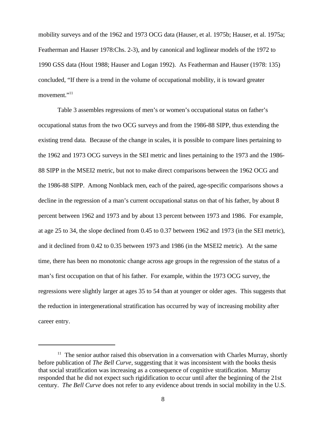mobility surveys and of the 1962 and 1973 OCG data (Hauser, et al. 1975b; Hauser, et al. 1975a; Featherman and Hauser 1978:Chs. 2-3), and by canonical and loglinear models of the 1972 to 1990 GSS data (Hout 1988; Hauser and Logan 1992). As Featherman and Hauser (1978: 135) concluded, "If there is a trend in the volume of occupational mobility, it is toward greater movement."<sup>11</sup>

Table 3 assembles regressions of men's or women's occupational status on father's occupational status from the two OCG surveys and from the 1986-88 SIPP, thus extending the existing trend data. Because of the change in scales, it is possible to compare lines pertaining to the 1962 and 1973 OCG surveys in the SEI metric and lines pertaining to the 1973 and the 1986- 88 SIPP in the MSEI2 metric, but not to make direct comparisons between the 1962 OCG and the 1986-88 SIPP. Among Nonblack men, each of the paired, age-specific comparisons shows a decline in the regression of a man's current occupational status on that of his father, by about 8 percent between 1962 and 1973 and by about 13 percent between 1973 and 1986. For example, at age 25 to 34, the slope declined from 0.45 to 0.37 between 1962 and 1973 (in the SEI metric), and it declined from 0.42 to 0.35 between 1973 and 1986 (in the MSEI2 metric). At the same time, there has been no monotonic change across age groups in the regression of the status of a man's first occupation on that of his father. For example, within the 1973 OCG survey, the regressions were slightly larger at ages 35 to 54 than at younger or older ages. This suggests that the reduction in intergenerational stratification has occurred by way of increasing mobility after career entry.

 $11$  The senior author raised this observation in a conversation with Charles Murray, shortly before publication of *The Bell Curve*, suggesting that it was inconsistent with the books thesis that social stratification was increasing as a consequence of cognitive stratification. Murray responded that he did not expect such rigidification to occur until after the beginning of the 21st century. *The Bell Curve* does not refer to any evidence about trends in social mobility in the U.S.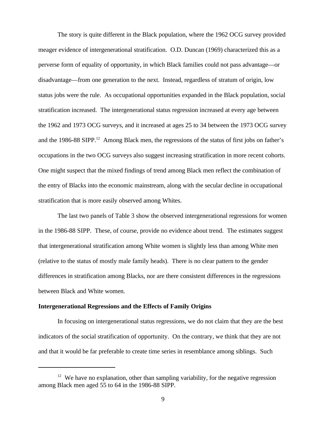The story is quite different in the Black population, where the 1962 OCG survey provided meager evidence of intergenerational stratification. O.D. Duncan (1969) characterized this as a perverse form of equality of opportunity, in which Black families could not pass advantage—or disadvantage—from one generation to the next. Instead, regardless of stratum of origin, low status jobs were the rule. As occupational opportunities expanded in the Black population, social stratification increased. The intergenerational status regression increased at every age between the 1962 and 1973 OCG surveys, and it increased at ages 25 to 34 between the 1973 OCG survey and the 1986-88 SIPP.<sup>12</sup> Among Black men, the regressions of the status of first jobs on father's occupations in the two OCG surveys also suggest increasing stratification in more recent cohorts. One might suspect that the mixed findings of trend among Black men reflect the combination of the entry of Blacks into the economic mainstream, along with the secular decline in occupational stratification that is more easily observed among Whites.

The last two panels of Table 3 show the observed intergenerational regressions for women in the 1986-88 SIPP. These, of course, provide no evidence about trend. The estimates suggest that intergenerational stratification among White women is slightly less than among White men (relative to the status of mostly male family heads). There is no clear pattern to the gender differences in stratification among Blacks, nor are there consistent differences in the regressions between Black and White women.

## **Intergenerational Regressions and the Effects of Family Origins**

In focusing on intergenerational status regressions, we do not claim that they are the best indicators of the social stratification of opportunity. On the contrary, we think that they are not and that it would be far preferable to create time series in resemblance among siblings. Such

 $12$  We have no explanation, other than sampling variability, for the negative regression among Black men aged 55 to 64 in the 1986-88 SIPP.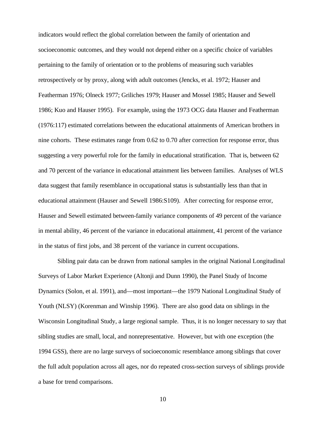indicators would reflect the global correlation between the family of orientation and socioeconomic outcomes, and they would not depend either on a specific choice of variables pertaining to the family of orientation or to the problems of measuring such variables retrospectively or by proxy, along with adult outcomes (Jencks, et al. 1972; Hauser and Featherman 1976; Olneck 1977; Griliches 1979; Hauser and Mossel 1985; Hauser and Sewell 1986; Kuo and Hauser 1995). For example, using the 1973 OCG data Hauser and Featherman (1976:117) estimated correlations between the educational attainments of American brothers in nine cohorts. These estimates range from 0.62 to 0.70 after correction for response error, thus suggesting a very powerful role for the family in educational stratification. That is, between 62 and 70 percent of the variance in educational attainment lies between families. Analyses of WLS data suggest that family resemblance in occupational status is substantially less than that in educational attainment (Hauser and Sewell 1986:S109). After correcting for response error, Hauser and Sewell estimated between-family variance components of 49 percent of the variance in mental ability, 46 percent of the variance in educational attainment, 41 percent of the variance in the status of first jobs, and 38 percent of the variance in current occupations.

Sibling pair data can be drawn from national samples in the original National Longitudinal Surveys of Labor Market Experience (Altonji and Dunn 1990), the Panel Study of Income Dynamics (Solon, et al. 1991), and—most important—the 1979 National Longitudinal Study of Youth (NLSY) (Korenman and Winship 1996). There are also good data on siblings in the Wisconsin Longitudinal Study, a large regional sample. Thus, it is no longer necessary to say that sibling studies are small, local, and nonrepresentative. However, but with one exception (the 1994 GSS), there are no large surveys of socioeconomic resemblance among siblings that cover the full adult population across all ages, nor do repeated cross-section surveys of siblings provide a base for trend comparisons.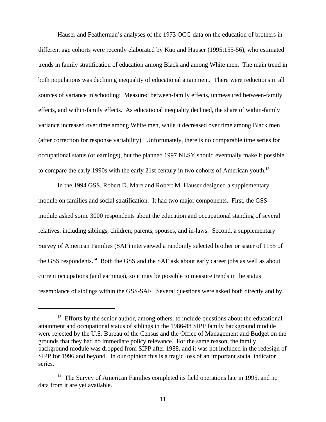Hauser and Featherman's analyses of the 1973 OCG data on the education of brothers in different age cohorts were recently elaborated by Kuo and Hauser (1995:155-56), who estimated trends in family stratification of education among Black and among White men. The main trend in both populations was declining inequality of educational attainment. There were reductions in all sources of variance in schooling: Measured between-family effects, unmeasured between-family effects, and within-family effects. As educational inequality declined, the share of within-family variance increased over time among White men, while it decreased over time among Black men (after correction for response variability). Unfortunately, there is no comparable time series for occupational status (or earnings), but the planned 1997 NLSY should eventually make it possible to compare the early 1990s with the early 21st century in two cohorts of American youth.<sup>13</sup>

In the 1994 GSS, Robert D. Mare and Robert M. Hauser designed a supplementary module on families and social stratification. It had two major components. First, the GSS module asked some 3000 respondents about the education and occupational standing of several relatives, including siblings, children, parents, spouses, and in-laws. Second, a supplementary Survey of American Families (SAF) interviewed a randomly selected brother or sister of 1155 of the GSS respondents.<sup>14</sup> Both the GSS and the SAF ask about early career jobs as well as about current occupations (and earnings), so it may be possible to measure trends in the status resemblance of siblings within the GSS-SAF. Several questions were asked both directly and by

 $13$  Efforts by the senior author, among others, to include questions about the educational attainment and occupational status of siblings in the 1986-88 SIPP family background module were rejected by the U.S. Bureau of the Census and the Office of Management and Budget on the grounds that they had no immediate policy relevance. For the same reason, the family background module was dropped from SIPP after 1988, and it was not included in the redesign of SIPP for 1996 and beyond. In our opinion this is a tragic loss of an important social indicator series.

 $14$  The Survey of American Families completed its field operations late in 1995, and no data from it are yet available.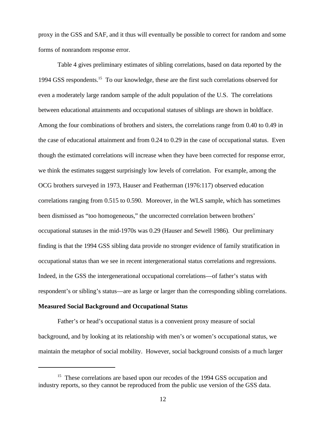proxy in the GSS and SAF, and it thus will eventually be possible to correct for random and some forms of nonrandom response error.

Table 4 gives preliminary estimates of sibling correlations, based on data reported by the 1994 GSS respondents.<sup>15</sup> To our knowledge, these are the first such correlations observed for even a moderately large random sample of the adult population of the U.S. The correlations between educational attainments and occupational statuses of siblings are shown in boldface. Among the four combinations of brothers and sisters, the correlations range from 0.40 to 0.49 in the case of educational attainment and from 0.24 to 0.29 in the case of occupational status. Even though the estimated correlations will increase when they have been corrected for response error, we think the estimates suggest surprisingly low levels of correlation. For example, among the OCG brothers surveyed in 1973, Hauser and Featherman (1976:117) observed education correlations ranging from 0.515 to 0.590. Moreover, in the WLS sample, which has sometimes been dismissed as "too homogeneous," the uncorrected correlation between brothers' occupational statuses in the mid-1970s was 0.29 (Hauser and Sewell 1986). Our preliminary finding is that the 1994 GSS sibling data provide no stronger evidence of family stratification in occupational status than we see in recent intergenerational status correlations and regressions. Indeed, in the GSS the intergenerational occupational correlations—of father's status with respondent's or sibling's status—are as large or larger than the corresponding sibling correlations.

## **Measured Social Background and Occupational Status**

Father's or head's occupational status is a convenient proxy measure of social background, and by looking at its relationship with men's or women's occupational status, we maintain the metaphor of social mobility. However, social background consists of a much larger

 $15$  These correlations are based upon our recodes of the 1994 GSS occupation and industry reports, so they cannot be reproduced from the public use version of the GSS data.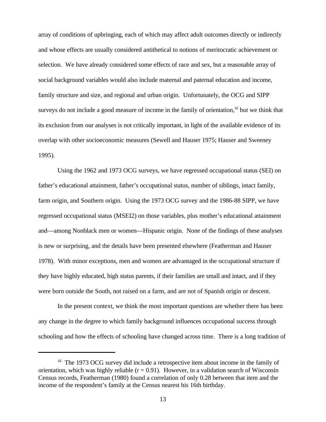array of conditions of upbringing, each of which may affect adult outcomes directly or indirectly and whose effects are usually considered antithetical to notions of meritocratic achievement or selection. We have already considered some effects of race and sex, but a reasonable array of social background variables would also include maternal and paternal education and income, family structure and size, and regional and urban origin. Unfortunately, the OCG and SIPP surveys do not include a good measure of income in the family of orientation,  $16$  but we think that its exclusion from our analyses is not critically important, in light of the available evidence of its overlap with other socioeconomic measures (Sewell and Hauser 1975; Hauser and Sweeney 1995).

Using the 1962 and 1973 OCG surveys, we have regressed occupational status (SEI) on father's educational attainment, father's occupational status, number of siblings, intact family, farm origin, and Southern origin. Using the 1973 OCG survey and the 1986-88 SIPP, we have regressed occupational status (MSEI2) on those variables, plus mother's educational attainment and—among Nonblack men or women—Hispanic origin. None of the findings of these analyses is new or surprising, and the details have been presented elsewhere (Featherman and Hauser 1978). With minor exceptions, men and women are advantaged in the occupational structure if they have highly educated, high status parents, if their families are small and intact, and if they were born outside the South, not raised on a farm, and are not of Spanish origin or descent.

In the present context, we think the most important questions are whether there has been any change in the degree to which family background influences occupational success through schooling and how the effects of schooling have changed across time. There is a long tradition of

 $16$  The 1973 OCG survey did include a retrospective item about income in the family of orientation, which was highly reliable  $(r = 0.91)$ . However, in a validation search of Wisconsin Census records, Featherman (1980) found a correlation of only 0.28 between that item and the income of the respondent's family at the Census nearest his 16th birthday.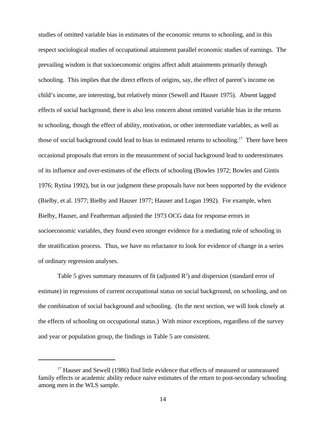studies of omitted variable bias in estimates of the economic returns to schooling, and in this respect sociological studies of occupational attainment parallel economic studies of earnings. The prevailing wisdom is that socioeconomic origins affect adult attainments primarily through schooling. This implies that the direct effects of origins, say, the effect of parent's income on child's income, are interesting, but relatively minor (Sewell and Hauser 1975). Absent lagged effects of social background, there is also less concern about omitted variable bias in the returns to schooling, though the effect of ability, motivation, or other intermediate variables, as well as those of social background could lead to bias in estimated returns to schooling.<sup>17</sup> There have been occasional proposals that errors in the measurement of social background lead to underestimates of its influence and over-estimates of the effects of schooling (Bowles 1972; Bowles and Gintis 1976; Rytina 1992), but in our judgment these proposals have not been supported by the evidence (Bielby, et al. 1977; Bielby and Hauser 1977; Hauser and Logan 1992). For example, when Bielby, Hauser, and Featherman adjusted the 1973 OCG data for response errors in socioeconomic variables, they found even stronger evidence for a mediating role of schooling in the stratification process. Thus, we have no reluctance to look for evidence of change in a series of ordinary regression analyses.

Table 5 gives summary measures of fit (adjusted  $\mathbb{R}^2$ ) and dispersion (standard error of estimate) in regressions of current occupational status on social background, on schooling, and on the combination of social background and schooling. (In the next section, we will look closely at the effects of schooling on occupational status.) With minor exceptions, regardless of the survey and year or population group, the findings in Table 5 are consistent.

 $17$  Hauser and Sewell (1986) find little evidence that effects of measured or unmeasured family effects or academic ability reduce naive estimates of the return to post-secondary schooling among men in the WLS sample.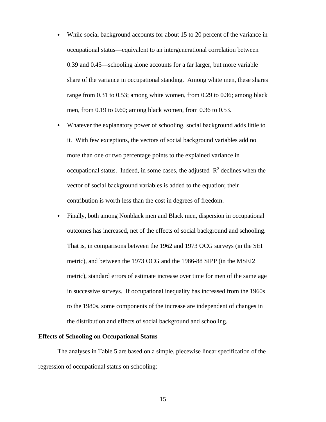- While social background accounts for about 15 to 20 percent of the variance in  $\bullet$ occupational status—equivalent to an intergenerational correlation between 0.39 and 0.45—schooling alone accounts for a far larger, but more variable share of the variance in occupational standing. Among white men, these shares range from 0.31 to 0.53; among white women, from 0.29 to 0.36; among black men, from 0.19 to 0.60; among black women, from 0.36 to 0.53.
- Whatever the explanatory power of schooling, social background adds little to it. With few exceptions, the vectors of social background variables add no more than one or two percentage points to the explained variance in occupational status. Indeed, in some cases, the adjusted  $\mathbb{R}^2$  declines when the vector of social background variables is added to the equation; their contribution is worth less than the cost in degrees of freedom.
- Finally, both among Nonblack men and Black men, dispersion in occupational outcomes has increased, net of the effects of social background and schooling. That is, in comparisons between the 1962 and 1973 OCG surveys (in the SEI metric), and between the 1973 OCG and the 1986-88 SIPP (in the MSEI2 metric), standard errors of estimate increase over time for men of the same age in successive surveys. If occupational inequality has increased from the 1960s to the 1980s, some components of the increase are independent of changes in the distribution and effects of social background and schooling.

#### **Effects of Schooling on Occupational Status**

The analyses in Table 5 are based on a simple, piecewise linear specification of the regression of occupational status on schooling: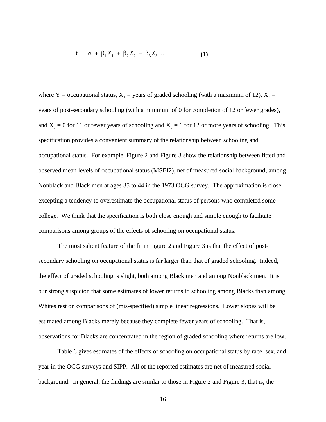$$
Y = \alpha + \beta_1 X_1 + \beta_2 X_2 + \beta_3 X_3 \dots \tag{1}
$$

where Y = occupational status,  $X_1$  = years of graded schooling (with a maximum of 12),  $X_2$  = years of post-secondary schooling (with a minimum of 0 for completion of 12 or fewer grades), and  $X_3 = 0$  for 11 or fewer years of schooling and  $X_3 = 1$  for 12 or more years of schooling. This specification provides a convenient summary of the relationship between schooling and occupational status. For example, Figure 2 and Figure 3 show the relationship between fitted and observed mean levels of occupational status (MSEI2), net of measured social background, among Nonblack and Black men at ages 35 to 44 in the 1973 OCG survey. The approximation is close, excepting a tendency to overestimate the occupational status of persons who completed some college. We think that the specification is both close enough and simple enough to facilitate comparisons among groups of the effects of schooling on occupational status.

The most salient feature of the fit in Figure 2 and Figure 3 is that the effect of postsecondary schooling on occupational status is far larger than that of graded schooling. Indeed, the effect of graded schooling is slight, both among Black men and among Nonblack men. It is our strong suspicion that some estimates of lower returns to schooling among Blacks than among Whites rest on comparisons of (mis-specified) simple linear regressions. Lower slopes will be estimated among Blacks merely because they complete fewer years of schooling. That is, observations for Blacks are concentrated in the region of graded schooling where returns are low.

Table 6 gives estimates of the effects of schooling on occupational status by race, sex, and year in the OCG surveys and SIPP. All of the reported estimates are net of measured social background. In general, the findings are similar to those in Figure 2 and Figure 3; that is, the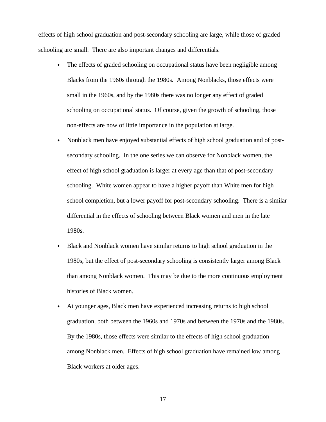effects of high school graduation and post-secondary schooling are large, while those of graded schooling are small. There are also important changes and differentials.

- The effects of graded schooling on occupational status have been negligible among Blacks from the 1960s through the 1980s. Among Nonblacks, those effects were small in the 1960s, and by the 1980s there was no longer any effect of graded schooling on occupational status. Of course, given the growth of schooling, those non-effects are now of little importance in the population at large.
- Nonblack men have enjoyed substantial effects of high school graduation and of post- $\bullet$ secondary schooling. In the one series we can observe for Nonblack women, the effect of high school graduation is larger at every age than that of post-secondary schooling. White women appear to have a higher payoff than White men for high school completion, but a lower payoff for post-secondary schooling. There is a similar differential in the effects of schooling between Black women and men in the late 1980s.
- Black and Nonblack women have similar returns to high school graduation in the  $\bullet$ 1980s, but the effect of post-secondary schooling is consistently larger among Black than among Nonblack women. This may be due to the more continuous employment histories of Black women.
- At younger ages, Black men have experienced increasing returns to high school graduation, both between the 1960s and 1970s and between the 1970s and the 1980s. By the 1980s, those effects were similar to the effects of high school graduation among Nonblack men. Effects of high school graduation have remained low among Black workers at older ages.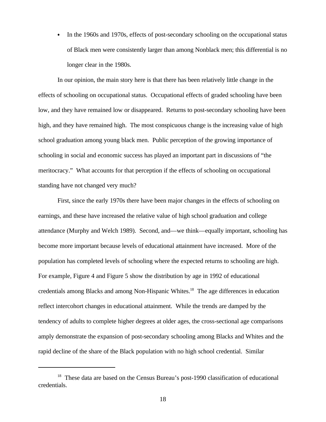$\bullet$ In the 1960s and 1970s, effects of post-secondary schooling on the occupational status of Black men were consistently larger than among Nonblack men; this differential is no longer clear in the 1980s.

In our opinion, the main story here is that there has been relatively little change in the effects of schooling on occupational status. Occupational effects of graded schooling have been low, and they have remained low or disappeared. Returns to post-secondary schooling have been high, and they have remained high. The most conspicuous change is the increasing value of high school graduation among young black men. Public perception of the growing importance of schooling in social and economic success has played an important part in discussions of "the meritocracy." What accounts for that perception if the effects of schooling on occupational standing have not changed very much?

First, since the early 1970s there have been major changes in the effects of schooling on earnings, and these have increased the relative value of high school graduation and college attendance (Murphy and Welch 1989). Second, and—we think—equally important, schooling has become more important because levels of educational attainment have increased. More of the population has completed levels of schooling where the expected returns to schooling are high. For example, Figure 4 and Figure 5 show the distribution by age in 1992 of educational credentials among Blacks and among Non-Hispanic Whites.<sup>18</sup> The age differences in education reflect intercohort changes in educational attainment. While the trends are damped by the tendency of adults to complete higher degrees at older ages, the cross-sectional age comparisons amply demonstrate the expansion of post-secondary schooling among Blacks and Whites and the rapid decline of the share of the Black population with no high school credential. Similar

<sup>&</sup>lt;sup>18</sup> These data are based on the Census Bureau's post-1990 classification of educational credentials.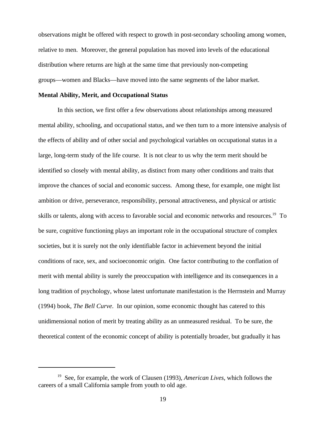observations might be offered with respect to growth in post-secondary schooling among women, relative to men. Moreover, the general population has moved into levels of the educational distribution where returns are high at the same time that previously non-competing groups—women and Blacks—have moved into the same segments of the labor market.

## **Mental Ability, Merit, and Occupational Status**

In this section, we first offer a few observations about relationships among measured mental ability, schooling, and occupational status, and we then turn to a more intensive analysis of the effects of ability and of other social and psychological variables on occupational status in a large, long-term study of the life course. It is not clear to us why the term merit should be identified so closely with mental ability, as distinct from many other conditions and traits that improve the chances of social and economic success. Among these, for example, one might list ambition or drive, perseverance, responsibility, personal attractiveness, and physical or artistic skills or talents, along with access to favorable social and economic networks and resources.<sup>19</sup> To be sure, cognitive functioning plays an important role in the occupational structure of complex societies, but it is surely not the only identifiable factor in achievement beyond the initial conditions of race, sex, and socioeconomic origin. One factor contributing to the conflation of merit with mental ability is surely the preoccupation with intelligence and its consequences in a long tradition of psychology, whose latest unfortunate manifestation is the Herrnstein and Murray (1994) book, *The Bell Curve*. In our opinion, some economic thought has catered to this unidimensional notion of merit by treating ability as an unmeasured residual. To be sure, the theoretical content of the economic concept of ability is potentially broader, but gradually it has

<sup>&</sup>lt;sup>19</sup> See, for example, the work of Clausen (1993), *American Lives*, which follows the careers of a small California sample from youth to old age.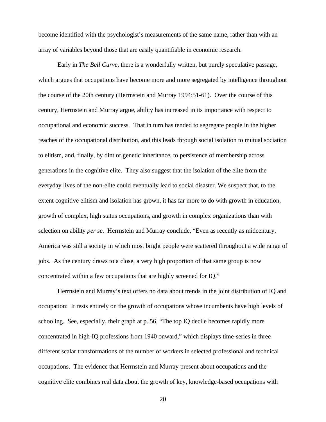become identified with the psychologist's measurements of the same name, rather than with an array of variables beyond those that are easily quantifiable in economic research.

Early in *The Bell Curve*, there is a wonderfully written, but purely speculative passage, which argues that occupations have become more and more segregated by intelligence throughout the course of the 20th century (Herrnstein and Murray 1994:51-61). Over the course of this century, Herrnstein and Murray argue, ability has increased in its importance with respect to occupational and economic success. That in turn has tended to segregate people in the higher reaches of the occupational distribution, and this leads through social isolation to mutual sociation to elitism, and, finally, by dint of genetic inheritance, to persistence of membership across generations in the cognitive elite. They also suggest that the isolation of the elite from the everyday lives of the non-elite could eventually lead to social disaster. We suspect that, to the extent cognitive elitism and isolation has grown, it has far more to do with growth in education, growth of complex, high status occupations, and growth in complex organizations than with selection on ability *per se*. Herrnstein and Murray conclude, "Even as recently as midcentury, America was still a society in which most bright people were scattered throughout a wide range of jobs. As the century draws to a close, a very high proportion of that same group is now concentrated within a few occupations that are highly screened for IQ."

Herrnstein and Murray's text offers no data about trends in the joint distribution of IQ and occupation: It rests entirely on the growth of occupations whose incumbents have high levels of schooling. See, especially, their graph at p. 56, "The top IQ decile becomes rapidly more concentrated in high-IQ professions from 1940 onward," which displays time-series in three different scalar transformations of the number of workers in selected professional and technical occupations. The evidence that Herrnstein and Murray present about occupations and the cognitive elite combines real data about the growth of key, knowledge-based occupations with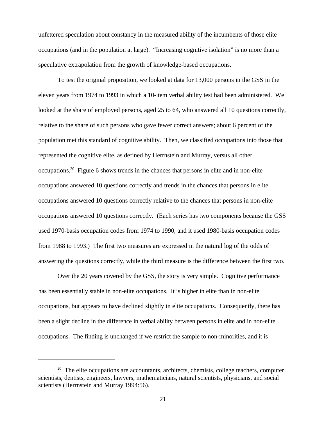unfettered speculation about constancy in the measured ability of the incumbents of those elite occupations (and in the population at large). "Increasing cognitive isolation" is no more than a speculative extrapolation from the growth of knowledge-based occupations.

To test the original proposition, we looked at data for 13,000 persons in the GSS in the eleven years from 1974 to 1993 in which a 10-item verbal ability test had been administered. We looked at the share of employed persons, aged 25 to 64, who answered all 10 questions correctly, relative to the share of such persons who gave fewer correct answers; about 6 percent of the population met this standard of cognitive ability. Then, we classified occupations into those that represented the cognitive elite, as defined by Herrnstein and Murray, versus all other occupations.<sup>20</sup> Figure 6 shows trends in the chances that persons in elite and in non-elite occupations answered 10 questions correctly and trends in the chances that persons in elite occupations answered 10 questions correctly relative to the chances that persons in non-elite occupations answered 10 questions correctly. (Each series has two components because the GSS used 1970-basis occupation codes from 1974 to 1990, and it used 1980-basis occupation codes from 1988 to 1993.) The first two measures are expressed in the natural log of the odds of answering the questions correctly, while the third measure is the difference between the first two.

Over the 20 years covered by the GSS, the story is very simple. Cognitive performance has been essentially stable in non-elite occupations. It is higher in elite than in non-elite occupations, but appears to have declined slightly in elite occupations. Consequently, there has been a slight decline in the difference in verbal ability between persons in elite and in non-elite occupations. The finding is unchanged if we restrict the sample to non-minorities, and it is

 $20$  The elite occupations are accountants, architects, chemists, college teachers, computer scientists, dentists, engineers, lawyers, mathematicians, natural scientists, physicians, and social scientists (Herrnstein and Murray 1994:56).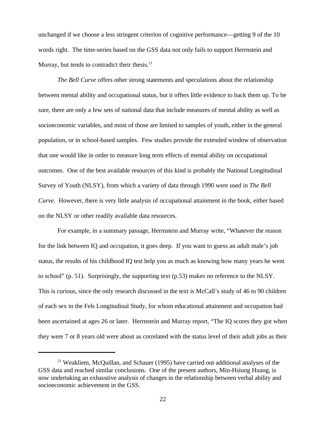unchanged if we choose a less stringent criterion of cognitive performance—getting 9 of the 10 words right. The time-series based on the GSS data not only fails to support Herrnstein and Murray, but tends to contradict their thesis. $21$ 

*The Bell Curve* offers other strong statements and speculations about the relationship between mental ability and occupational status, but it offers little evidence to back them up. To be sure, there are only a few sets of national data that include measures of mental ability as well as socioeconomic variables, and most of those are limited to samples of youth, either in the general population, or in school-based samples. Few studies provide the extended window of observation that one would like in order to measure long term effects of mental ability on occupational outcomes. One of the best available resources of this kind is probably the National Longitudinal Survey of Youth (NLSY), from which a variety of data through 1990 were used in *The Bell Curve*. However, there is very little analysis of occupational attainment in the book, either based on the NLSY or other readily available data resources.

For example, in a summary passage, Herrnstein and Murray write, "Whatever the reason for the link between IQ and occupation, it goes deep. If you want to guess an adult male's job status, the results of his childhood IQ test help you as much as knowing how many years he went to school" (p. 51). Surprisingly, the supporting text (p.53) makes no reference to the NLSY. This is curious, since the only research discussed in the text is McCall's study of 46 to 90 children of each sex in the Fels Longitudinal Study, for whom educational attainment and occupation had been ascertained at ages 26 or later. Herrnstein and Murray report, "The IQ scores they got when they were 7 or 8 years old were about as correlated with the status level of their adult jobs as their

 $21$  Weakliem, McQuillan, and Schauer (1995) have carried out additional analyses of the GSS data and reached similar conclusions. One of the present authors, Min-Hsiung Huang, is now undertaking an exhaustive analysis of changes in the relationship between verbal ability and socioeconomic achievement in the GSS.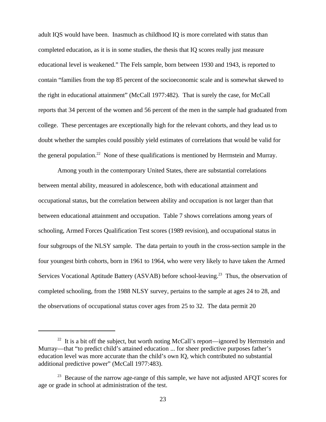adult IQS would have been. Inasmuch as childhood IQ is more correlated with status than completed education, as it is in some studies, the thesis that IQ scores really just measure educational level is weakened." The Fels sample, born between 1930 and 1943, is reported to contain "families from the top 85 percent of the socioeconomic scale and is somewhat skewed to the right in educational attainment" (McCall 1977:482). That is surely the case, for McCall reports that 34 percent of the women and 56 percent of the men in the sample had graduated from college. These percentages are exceptionally high for the relevant cohorts, and they lead us to doubt whether the samples could possibly yield estimates of correlations that would be valid for the general population.<sup>22</sup> None of these qualifications is mentioned by Herrnstein and Murray.

Among youth in the contemporary United States, there are substantial correlations between mental ability, measured in adolescence, both with educational attainment and occupational status, but the correlation between ability and occupation is not larger than that between educational attainment and occupation. Table 7 shows correlations among years of schooling, Armed Forces Qualification Test scores (1989 revision), and occupational status in four subgroups of the NLSY sample. The data pertain to youth in the cross-section sample in the four youngest birth cohorts, born in 1961 to 1964, who were very likely to have taken the Armed Services Vocational Aptitude Battery (ASVAB) before school-leaving.<sup>23</sup> Thus, the observation of completed schooling, from the 1988 NLSY survey, pertains to the sample at ages 24 to 28, and the observations of occupational status cover ages from 25 to 32. The data permit 20

<sup>&</sup>lt;sup>22</sup> It is a bit off the subject, but worth noting McCall's report—ignored by Herrnstein and Murray—that "to predict child's attained education ... for sheer predictive purposes father's education level was more accurate than the child's own IQ, which contributed no substantial additional predictive power" (McCall 1977:483).

 $3<sup>23</sup>$  Because of the narrow age-range of this sample, we have not adjusted AFOT scores for age or grade in school at administration of the test.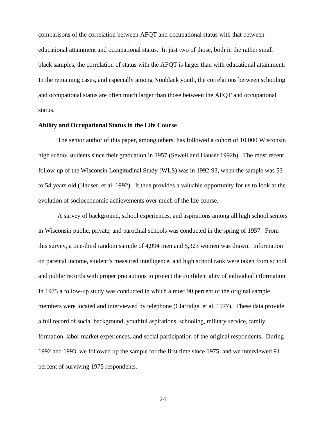comparisons of the correlation between AFQT and occupational status with that between educational attainment and occupational status. In just two of those, both in the rather small black samples, the correlation of status with the AFQT is larger than with educational attainment. In the remaining cases, and especially among Nonblack youth, the correlations between schooling and occupational status are often much larger than those between the AFQT and occupational status.

## **Ability and Occupational Status in the Life Course**

The senior author of this paper, among others, has followed a cohort of 10,000 Wisconsin high school students since their graduation in 1957 (Sewell and Hauser 1992b). The most recent follow-up of the Wisconsin Longitudinal Study (WLS) was in 1992-93, when the sample was 53 to 54 years old (Hauser, et al. 1992). It thus provides a valuable opportunity for us to look at the evolution of socioeconomic achievements over much of the life course.

A survey of background, school experiences, and aspirations among all high school seniors in Wisconsin public, private, and parochial schools was conducted in the spring of 1957. From this survey, a one-third random sample of 4,994 men and 5,323 women was drawn. Information on parental income, student's measured intelligence, and high school rank were taken from school and public records with proper precautions to protect the confidentiality of individual information. In 1975 a follow-up study was conducted in which almost 90 percent of the original sample members were located and interviewed by telephone (Clarridge, et al. 1977). These data provide a full record of social background, youthful aspirations, schooling, military service, family formation, labor market experiences, and social participation of the original respondents. During 1992 and 1993, we followed up the sample for the first time since 1975, and we interviewed 91 percent of surviving 1975 respondents.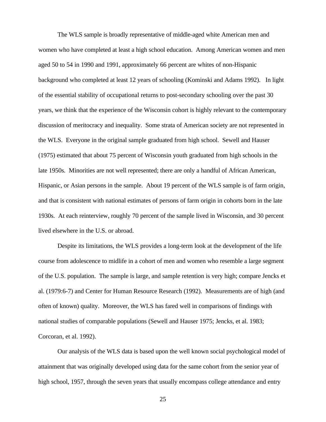The WLS sample is broadly representative of middle-aged white American men and women who have completed at least a high school education. Among American women and men aged 50 to 54 in 1990 and 1991, approximately 66 percent are whites of non-Hispanic background who completed at least 12 years of schooling (Kominski and Adams 1992). In light of the essential stability of occupational returns to post-secondary schooling over the past 30 years, we think that the experience of the Wisconsin cohort is highly relevant to the contemporary discussion of meritocracy and inequality. Some strata of American society are not represented in the WLS. Everyone in the original sample graduated from high school. Sewell and Hauser (1975) estimated that about 75 percent of Wisconsin youth graduated from high schools in the late 1950s. Minorities are not well represented; there are only a handful of African American, Hispanic, or Asian persons in the sample. About 19 percent of the WLS sample is of farm origin, and that is consistent with national estimates of persons of farm origin in cohorts born in the late 1930s. At each reinterview, roughly 70 percent of the sample lived in Wisconsin, and 30 percent lived elsewhere in the U.S. or abroad.

Despite its limitations, the WLS provides a long-term look at the development of the life course from adolescence to midlife in a cohort of men and women who resemble a large segment of the U.S. population. The sample is large, and sample retention is very high; compare Jencks et al. (1979:6-7) and Center for Human Resource Research (1992). Measurements are of high (and often of known) quality. Moreover, the WLS has fared well in comparisons of findings with national studies of comparable populations (Sewell and Hauser 1975; Jencks, et al. 1983; Corcoran, et al. 1992).

Our analysis of the WLS data is based upon the well known social psychological model of attainment that was originally developed using data for the same cohort from the senior year of high school, 1957, through the seven years that usually encompass college attendance and entry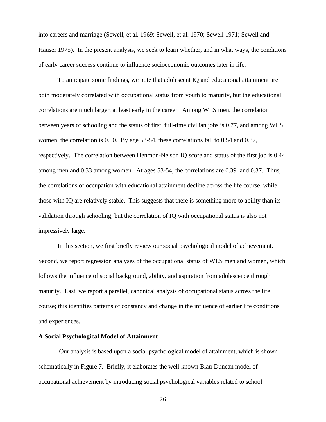into careers and marriage (Sewell, et al. 1969; Sewell, et al. 1970; Sewell 1971; Sewell and Hauser 1975). In the present analysis, we seek to learn whether, and in what ways, the conditions of early career success continue to influence socioeconomic outcomes later in life.

To anticipate some findings, we note that adolescent IQ and educational attainment are both moderately correlated with occupational status from youth to maturity, but the educational correlations are much larger, at least early in the career. Among WLS men, the correlation between years of schooling and the status of first, full-time civilian jobs is 0.77, and among WLS women, the correlation is 0.50. By age 53-54, these correlations fall to 0.54 and 0.37, respectively. The correlation between Henmon-Nelson IQ score and status of the first job is 0.44 among men and 0.33 among women. At ages 53-54, the correlations are 0.39 and 0.37. Thus, the correlations of occupation with educational attainment decline across the life course, while those with IQ are relatively stable. This suggests that there is something more to ability than its validation through schooling, but the correlation of IQ with occupational status is also not impressively large.

In this section, we first briefly review our social psychological model of achievement. Second, we report regression analyses of the occupational status of WLS men and women, which follows the influence of social background, ability, and aspiration from adolescence through maturity. Last, we report a parallel, canonical analysis of occupational status across the life course; this identifies patterns of constancy and change in the influence of earlier life conditions and experiences.

#### **A Social Psychological Model of Attainment**

 Our analysis is based upon a social psychological model of attainment, which is shown schematically in Figure 7. Briefly, it elaborates the well-known Blau-Duncan model of occupational achievement by introducing social psychological variables related to school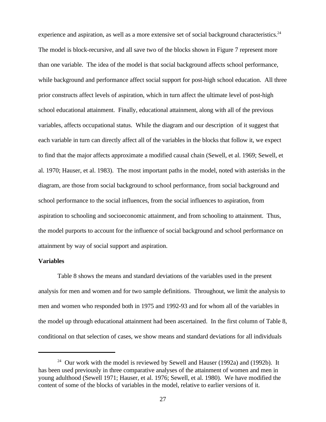experience and aspiration, as well as a more extensive set of social background characteristics.<sup>24</sup> The model is block-recursive, and all save two of the blocks shown in Figure 7 represent more than one variable. The idea of the model is that social background affects school performance, while background and performance affect social support for post-high school education. All three prior constructs affect levels of aspiration, which in turn affect the ultimate level of post-high school educational attainment. Finally, educational attainment, along with all of the previous variables, affects occupational status. While the diagram and our description of it suggest that each variable in turn can directly affect all of the variables in the blocks that follow it, we expect to find that the major affects approximate a modified causal chain (Sewell, et al. 1969; Sewell, et al. 1970; Hauser, et al. 1983). The most important paths in the model, noted with asterisks in the diagram, are those from social background to school performance, from social background and school performance to the social influences, from the social influences to aspiration, from aspiration to schooling and socioeconomic attainment, and from schooling to attainment. Thus, the model purports to account for the influence of social background and school performance on attainment by way of social support and aspiration.

## **Variables**

Table 8 shows the means and standard deviations of the variables used in the present analysis for men and women and for two sample definitions. Throughout, we limit the analysis to men and women who responded both in 1975 and 1992-93 and for whom all of the variables in the model up through educational attainment had been ascertained. In the first column of Table 8, conditional on that selection of cases, we show means and standard deviations for all individuals

<sup>&</sup>lt;sup>24</sup> Our work with the model is reviewed by Sewell and Hauser (1992a) and (1992b). It has been used previously in three comparative analyses of the attainment of women and men in young adulthood (Sewell 1971; Hauser, et al. 1976; Sewell, et al. 1980). We have modified the content of some of the blocks of variables in the model, relative to earlier versions of it.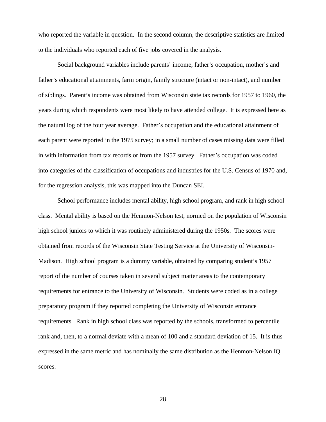who reported the variable in question. In the second column, the descriptive statistics are limited to the individuals who reported each of five jobs covered in the analysis.

Social background variables include parents' income, father's occupation, mother's and father's educational attainments, farm origin, family structure (intact or non-intact), and number of siblings. Parent's income was obtained from Wisconsin state tax records for 1957 to 1960, the years during which respondents were most likely to have attended college. It is expressed here as the natural log of the four year average. Father's occupation and the educational attainment of each parent were reported in the 1975 survey; in a small number of cases missing data were filled in with information from tax records or from the 1957 survey. Father's occupation was coded into categories of the classification of occupations and industries for the U.S. Census of 1970 and, for the regression analysis, this was mapped into the Duncan SEI.

School performance includes mental ability, high school program, and rank in high school class. Mental ability is based on the Henmon-Nelson test, normed on the population of Wisconsin high school juniors to which it was routinely administered during the 1950s. The scores were obtained from records of the Wisconsin State Testing Service at the University of Wisconsin-Madison. High school program is a dummy variable, obtained by comparing student's 1957 report of the number of courses taken in several subject matter areas to the contemporary requirements for entrance to the University of Wisconsin. Students were coded as in a college preparatory program if they reported completing the University of Wisconsin entrance requirements. Rank in high school class was reported by the schools, transformed to percentile rank and, then, to a normal deviate with a mean of 100 and a standard deviation of 15. It is thus expressed in the same metric and has nominally the same distribution as the Henmon-Nelson IQ scores.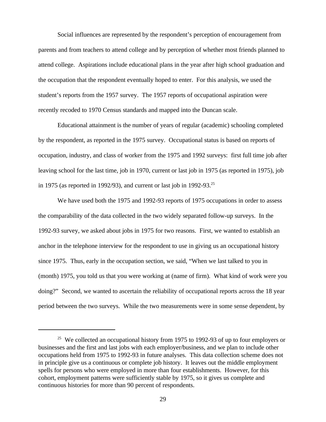Social influences are represented by the respondent's perception of encouragement from parents and from teachers to attend college and by perception of whether most friends planned to attend college. Aspirations include educational plans in the year after high school graduation and the occupation that the respondent eventually hoped to enter. For this analysis, we used the student's reports from the 1957 survey. The 1957 reports of occupational aspiration were recently recoded to 1970 Census standards and mapped into the Duncan scale.

Educational attainment is the number of years of regular (academic) schooling completed by the respondent, as reported in the 1975 survey. Occupational status is based on reports of occupation, industry, and class of worker from the 1975 and 1992 surveys: first full time job after leaving school for the last time, job in 1970, current or last job in 1975 (as reported in 1975), job in 1975 (as reported in 1992/93), and current or last job in 1992-93.<sup>25</sup>

We have used both the 1975 and 1992-93 reports of 1975 occupations in order to assess the comparability of the data collected in the two widely separated follow-up surveys. In the 1992-93 survey, we asked about jobs in 1975 for two reasons. First, we wanted to establish an anchor in the telephone interview for the respondent to use in giving us an occupational history since 1975. Thus, early in the occupation section, we said, "When we last talked to you in (month) 1975, you told us that you were working at (name of firm). What kind of work were you doing?" Second, we wanted to ascertain the reliability of occupational reports across the 18 year period between the two surveys. While the two measurements were in some sense dependent, by

 $25$  We collected an occupational history from 1975 to 1992-93 of up to four employers or businesses and the first and last jobs with each employer/business, and we plan to include other occupations held from 1975 to 1992-93 in future analyses. This data collection scheme does not in principle give us a continuous or complete job history. It leaves out the middle employment spells for persons who were employed in more than four establishments. However, for this cohort, employment patterns were sufficiently stable by 1975, so it gives us complete and continuous histories for more than 90 percent of respondents.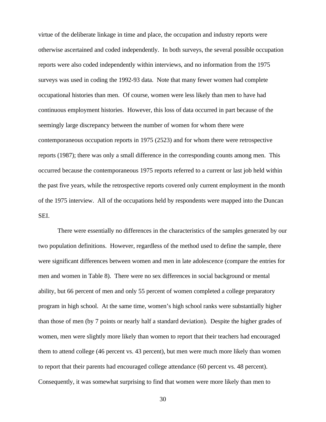virtue of the deliberate linkage in time and place, the occupation and industry reports were otherwise ascertained and coded independently. In both surveys, the several possible occupation reports were also coded independently within interviews, and no information from the 1975 surveys was used in coding the 1992-93 data. Note that many fewer women had complete occupational histories than men. Of course, women were less likely than men to have had continuous employment histories. However, this loss of data occurred in part because of the seemingly large discrepancy between the number of women for whom there were contemporaneous occupation reports in 1975 (2523) and for whom there were retrospective reports (1987); there was only a small difference in the corresponding counts among men. This occurred because the contemporaneous 1975 reports referred to a current or last job held within the past five years, while the retrospective reports covered only current employment in the month of the 1975 interview. All of the occupations held by respondents were mapped into the Duncan SEI.

There were essentially no differences in the characteristics of the samples generated by our two population definitions. However, regardless of the method used to define the sample, there were significant differences between women and men in late adolescence (compare the entries for men and women in Table 8). There were no sex differences in social background or mental ability, but 66 percent of men and only 55 percent of women completed a college preparatory program in high school. At the same time, women's high school ranks were substantially higher than those of men (by 7 points or nearly half a standard deviation). Despite the higher grades of women, men were slightly more likely than women to report that their teachers had encouraged them to attend college (46 percent vs. 43 percent), but men were much more likely than women to report that their parents had encouraged college attendance (60 percent vs. 48 percent). Consequently, it was somewhat surprising to find that women were more likely than men to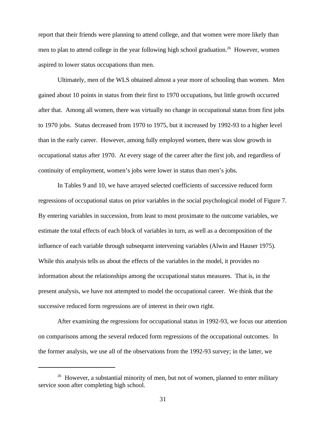report that their friends were planning to attend college, and that women were more likely than men to plan to attend college in the year following high school graduation.<sup>26</sup> However, women aspired to lower status occupations than men.

Ultimately, men of the WLS obtained almost a year more of schooling than women. Men gained about 10 points in status from their first to 1970 occupations, but little growth occurred after that. Among all women, there was virtually no change in occupational status from first jobs to 1970 jobs. Status decreased from 1970 to 1975, but it increased by 1992-93 to a higher level than in the early career. However, among fully employed women, there was slow growth in occupational status after 1970. At every stage of the career after the first job, and regardless of continuity of employment, women's jobs were lower in status than men's jobs.

In Tables 9 and 10, we have arrayed selected coefficients of successive reduced form regressions of occupational status on prior variables in the social psychological model of Figure 7. By entering variables in succession, from least to most proximate to the outcome variables, we estimate the total effects of each block of variables in turn, as well as a decomposition of the influence of each variable through subsequent intervening variables (Alwin and Hauser 1975). While this analysis tells us about the effects of the variables in the model, it provides no information about the relationships among the occupational status measures. That is, in the present analysis, we have not attempted to model the occupational career. We think that the successive reduced form regressions are of interest in their own right.

After examining the regressions for occupational status in 1992-93, we focus our attention on comparisons among the several reduced form regressions of the occupational outcomes. In the former analysis, we use all of the observations from the 1992-93 survey; in the latter, we

<sup>&</sup>lt;sup>26</sup> However, a substantial minority of men, but not of women, planned to enter military service soon after completing high school.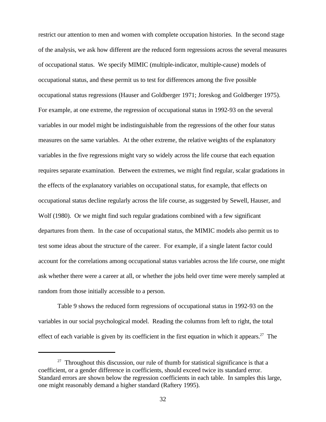restrict our attention to men and women with complete occupation histories. In the second stage of the analysis, we ask how different are the reduced form regressions across the several measures of occupational status. We specify MIMIC (multiple-indicator, multiple-cause) models of occupational status, and these permit us to test for differences among the five possible occupational status regressions (Hauser and Goldberger 1971; Joreskog and Goldberger 1975). For example, at one extreme, the regression of occupational status in 1992-93 on the several variables in our model might be indistinguishable from the regressions of the other four status measures on the same variables. At the other extreme, the relative weights of the explanatory variables in the five regressions might vary so widely across the life course that each equation requires separate examination. Between the extremes, we might find regular, scalar gradations in the effects of the explanatory variables on occupational status, for example, that effects on occupational status decline regularly across the life course, as suggested by Sewell, Hauser, and Wolf (1980). Or we might find such regular gradations combined with a few significant departures from them. In the case of occupational status, the MIMIC models also permit us to test some ideas about the structure of the career. For example, if a single latent factor could account for the correlations among occupational status variables across the life course, one might ask whether there were a career at all, or whether the jobs held over time were merely sampled at random from those initially accessible to a person.

Table 9 shows the reduced form regressions of occupational status in 1992-93 on the variables in our social psychological model. Reading the columns from left to right, the total effect of each variable is given by its coefficient in the first equation in which it appears.<sup>27</sup> The

 $27$  Throughout this discussion, our rule of thumb for statistical significance is that a coefficient, or a gender difference in coefficients, should exceed twice its standard error. Standard errors are shown below the regression coefficients in each table. In samples this large, one might reasonably demand a higher standard (Raftery 1995).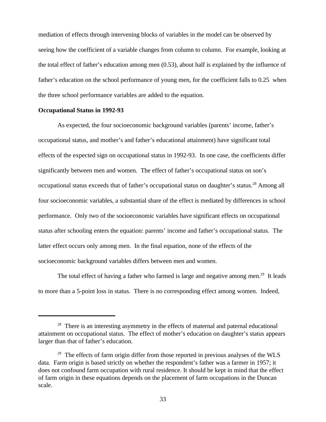mediation of effects through intervening blocks of variables in the model can be observed by seeing how the coefficient of a variable changes from column to column. For example, looking at the total effect of father's education among men (0.53), about half is explained by the influence of father's education on the school performance of young men, for the coefficient falls to 0.25 when the three school performance variables are added to the equation.

#### **Occupational Status in 1992-93**

As expected, the four socioeconomic background variables (parents' income, father's occupational status, and mother's and father's educational attainment) have significant total effects of the expected sign on occupational status in 1992-93. In one case, the coefficients differ significantly between men and women. The effect of father's occupational status on son's occupational status exceeds that of father's occupational status on daughter's status.<sup>28</sup> Among all four socioeconomic variables, a substantial share of the effect is mediated by differences in school performance. Only two of the socioeconomic variables have significant effects on occupational status after schooling enters the equation: parents' income and father's occupational status. The latter effect occurs only among men. In the final equation, none of the effects of the socioeconomic background variables differs between men and women.

The total effect of having a father who farmed is large and negative among men.<sup>29</sup> It leads to more than a 5-point loss in status. There is no corresponding effect among women. Indeed,

 $28$  There is an interesting asymmetry in the effects of maternal and paternal educational attainment on occupational status. The effect of mother's education on daughter's status appears larger than that of father's education.

 $29$  The effects of farm origin differ from those reported in previous analyses of the WLS data. Farm origin is based strictly on whether the respondent's father was a farmer in 1957; it does not confound farm occupation with rural residence. It should be kept in mind that the effect of farm origin in these equations depends on the placement of farm occupations in the Duncan scale.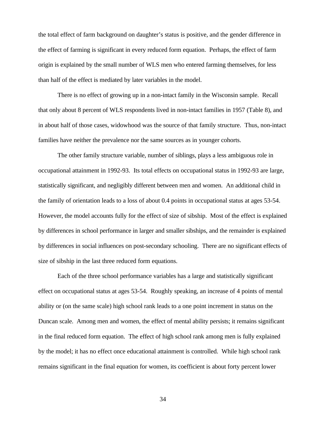the total effect of farm background on daughter's status is positive, and the gender difference in the effect of farming is significant in every reduced form equation. Perhaps, the effect of farm origin is explained by the small number of WLS men who entered farming themselves, for less than half of the effect is mediated by later variables in the model.

There is no effect of growing up in a non-intact family in the Wisconsin sample. Recall that only about 8 percent of WLS respondents lived in non-intact families in 1957 (Table 8), and in about half of those cases, widowhood was the source of that family structure. Thus, non-intact families have neither the prevalence nor the same sources as in younger cohorts.

The other family structure variable, number of siblings, plays a less ambiguous role in occupational attainment in 1992-93. Its total effects on occupational status in 1992-93 are large, statistically significant, and negligibly different between men and women. An additional child in the family of orientation leads to a loss of about 0.4 points in occupational status at ages 53-54. However, the model accounts fully for the effect of size of sibship. Most of the effect is explained by differences in school performance in larger and smaller sibships, and the remainder is explained by differences in social influences on post-secondary schooling. There are no significant effects of size of sibship in the last three reduced form equations.

Each of the three school performance variables has a large and statistically significant effect on occupational status at ages 53-54. Roughly speaking, an increase of 4 points of mental ability or (on the same scale) high school rank leads to a one point increment in status on the Duncan scale. Among men and women, the effect of mental ability persists; it remains significant in the final reduced form equation. The effect of high school rank among men is fully explained by the model; it has no effect once educational attainment is controlled. While high school rank remains significant in the final equation for women, its coefficient is about forty percent lower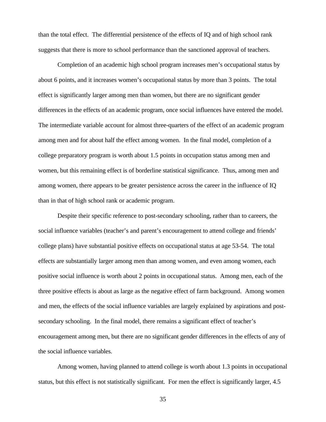than the total effect. The differential persistence of the effects of IQ and of high school rank suggests that there is more to school performance than the sanctioned approval of teachers.

Completion of an academic high school program increases men's occupational status by about 6 points, and it increases women's occupational status by more than 3 points. The total effect is significantly larger among men than women, but there are no significant gender differences in the effects of an academic program, once social influences have entered the model. The intermediate variable account for almost three-quarters of the effect of an academic program among men and for about half the effect among women. In the final model, completion of a college preparatory program is worth about 1.5 points in occupation status among men and women, but this remaining effect is of borderline statistical significance. Thus, among men and among women, there appears to be greater persistence across the career in the influence of IQ than in that of high school rank or academic program.

Despite their specific reference to post-secondary schooling, rather than to careers, the social influence variables (teacher's and parent's encouragement to attend college and friends' college plans) have substantial positive effects on occupational status at age 53-54. The total effects are substantially larger among men than among women, and even among women, each positive social influence is worth about 2 points in occupational status. Among men, each of the three positive effects is about as large as the negative effect of farm background. Among women and men, the effects of the social influence variables are largely explained by aspirations and postsecondary schooling. In the final model, there remains a significant effect of teacher's encouragement among men, but there are no significant gender differences in the effects of any of the social influence variables.

Among women, having planned to attend college is worth about 1.3 points in occupational status, but this effect is not statistically significant. For men the effect is significantly larger, 4.5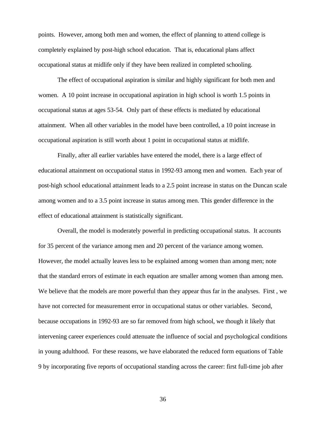points. However, among both men and women, the effect of planning to attend college is completely explained by post-high school education. That is, educational plans affect occupational status at midlife only if they have been realized in completed schooling.

The effect of occupational aspiration is similar and highly significant for both men and women. A 10 point increase in occupational aspiration in high school is worth 1.5 points in occupational status at ages 53-54. Only part of these effects is mediated by educational attainment. When all other variables in the model have been controlled, a 10 point increase in occupational aspiration is still worth about 1 point in occupational status at midlife.

Finally, after all earlier variables have entered the model, there is a large effect of educational attainment on occupational status in 1992-93 among men and women. Each year of post-high school educational attainment leads to a 2.5 point increase in status on the Duncan scale among women and to a 3.5 point increase in status among men. This gender difference in the effect of educational attainment is statistically significant.

Overall, the model is moderately powerful in predicting occupational status. It accounts for 35 percent of the variance among men and 20 percent of the variance among women. However, the model actually leaves less to be explained among women than among men; note that the standard errors of estimate in each equation are smaller among women than among men. We believe that the models are more powerful than they appear thus far in the analyses. First, we have not corrected for measurement error in occupational status or other variables. Second, because occupations in 1992-93 are so far removed from high school, we though it likely that intervening career experiences could attenuate the influence of social and psychological conditions in young adulthood. For these reasons, we have elaborated the reduced form equations of Table 9 by incorporating five reports of occupational standing across the career: first full-time job after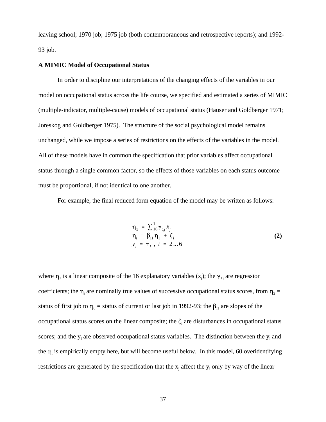leaving school; 1970 job; 1975 job (both contemporaneous and retrospective reports); and 1992- 93 job.

#### **A MIMIC Model of Occupational Status**

In order to discipline our interpretations of the changing effects of the variables in our model on occupational status across the life course, we specified and estimated a series of MIMIC (multiple-indicator, multiple-cause) models of occupational status (Hauser and Goldberger 1971; Joreskog and Goldberger 1975). The structure of the social psychological model remains unchanged, while we impose a series of restrictions on the effects of the variables in the model. All of these models have in common the specification that prior variables affect occupational status through a single common factor, so the effects of those variables on each status outcome must be proportional, if not identical to one another.

For example, the final reduced form equation of the model may be written as follows:

$$
\eta_1 = \sum_{i=1}^{1} \gamma_{1i} x_i \n\eta_i = \beta_{i1} \eta_1 + \zeta_i \ny_i = \eta_i, i = 2...6
$$
\n(2)

where  $\eta_1$  is a linear composite of the 16 explanatory variables  $(x_j)$ ; the  $\gamma_{1j}$  are regression coefficients; the  $\eta_i$  are nominally true values of successive occupational status scores, from  $\eta_2$  = status of first job to  $\eta_6$  = status of current or last job in 1992-93; the  $\beta_{i1}$  are slopes of the occupational status scores on the linear composite; the  $\zeta$  are disturbances in occupational status scores; and the  $y_i$  are observed occupational status variables. The distinction between the  $y_i$  and the  $\eta_i$  is empirically empty here, but will become useful below. In this model, 60 overidentifying restrictions are generated by the specification that the  $x_i$  affect the  $y_i$  only by way of the linear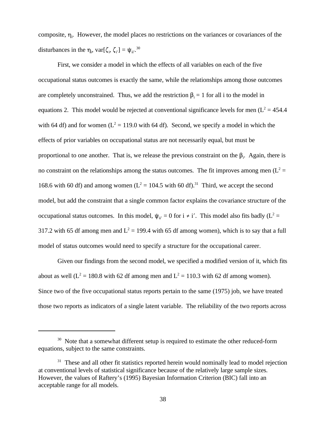composite,  $\eta_i$ . However, the model places no restrictions on the variances or covariances of the disturbances in the  $\eta_i$ , var $[\zeta_i, \zeta_i] = \psi_{ii}^{30}$ .

First, we consider a model in which the effects of all variables on each of the five occupational status outcomes is exactly the same, while the relationships among those outcomes are completely unconstrained. Thus, we add the restriction  $\beta_i = 1$  for all i to the model in equations 2. This model would be rejected at conventional significance levels for men  $(L^2 = 454.4$ with 64 df) and for women ( $L^2 = 119.0$  with 64 df). Second, we specify a model in which the effects of prior variables on occupational status are not necessarily equal, but must be proportional to one another. That is, we release the previous constraint on the  $\beta$ . Again, there is no constraint on the relationships among the status outcomes. The fit improves among men ( $L^2$  = 168.6 with 60 df) and among women ( $L^2 = 104.5$  with 60 df).<sup>31</sup> Third, we accept the second model, but add the constraint that a single common factor explains the covariance structure of the occupational status outcomes. In this model,  $\psi_{ii'} = 0$  for  $i \neq i'$ . This model also fits badly (L<sup>2</sup> = 317.2 with 65 df among men and  $L^2 = 199.4$  with 65 df among women), which is to say that a full model of status outcomes would need to specify a structure for the occupational career.

Given our findings from the second model, we specified a modified version of it, which fits about as well ( $L^2 = 180.8$  with 62 df among men and  $L^2 = 110.3$  with 62 df among women). Since two of the five occupational status reports pertain to the same (1975) job, we have treated those two reports as indicators of a single latent variable. The reliability of the two reports across

<sup>&</sup>lt;sup>30</sup> Note that a somewhat different setup is required to estimate the other reduced-form equations, subject to the same constraints.

 $31$  These and all other fit statistics reported herein would nominally lead to model rejection at conventional levels of statistical significance because of the relatively large sample sizes. However, the values of Raftery's (1995) Bayesian Information Criterion (BIC) fall into an acceptable range for all models.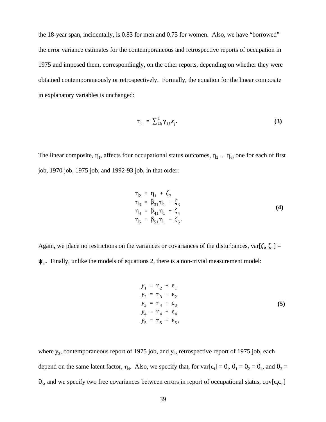the 18-year span, incidentally, is 0.83 for men and 0.75 for women. Also, we have "borrowed" the error variance estimates for the contemporaneous and retrospective reports of occupation in 1975 and imposed them, correspondingly, on the other reports, depending on whether they were obtained contemporaneously or retrospectively. Formally, the equation for the linear composite in explanatory variables is unchanged:

$$
\eta_1 = \sum_{i=1}^1 \gamma_{1i} x_i.
$$
 (3)

The linear composite,  $\eta_1$ , affects four occupational status outcomes,  $\eta_2 \dots \eta_6$ , one for each of first job, 1970 job, 1975 job, and 1992-93 job, in that order:

$$
\eta_2 = \eta_1 + \zeta_2 \n\eta_3 = \beta_{31} \eta_1 + \zeta_3 \n\eta_4 = \beta_{41} \eta_1 + \zeta_4 \n\eta_5 = \beta_{51} \eta_1 + \zeta_5.
$$
\n(4)

Again, we place no restrictions on the variances or covariances of the disturbances,  $var[\zeta_i, \zeta_i] =$  $\psi_{ii}$ . Finally, unlike the models of equations 2, there is a non-trivial measurement model:

$$
y_{1} = \eta_{2} + \epsilon_{1}
$$
  
\n
$$
y_{2} = \eta_{3} + \epsilon_{2}
$$
  
\n
$$
y_{3} = \eta_{4} + \epsilon_{3}
$$
  
\n
$$
y_{4} = \eta_{4} + \epsilon_{4}
$$
  
\n
$$
y_{5} = \eta_{5} + \epsilon_{5},
$$
  
\n(5)

where  $y_3$ , contemporaneous report of 1975 job, and  $y_4$ , retrospective report of 1975 job, each depend on the same latent factor,  $\eta_4$ . Also, we specify that, for  $var[\epsilon_i] = \theta_i$ ,  $\theta_1 = \theta_2 = \theta_4$ , and  $\theta_3 =$  $\theta_5$ , and we specify two free covariances between errors in report of occupational status, cov[ $\epsilon_i \epsilon_{i'}$ ]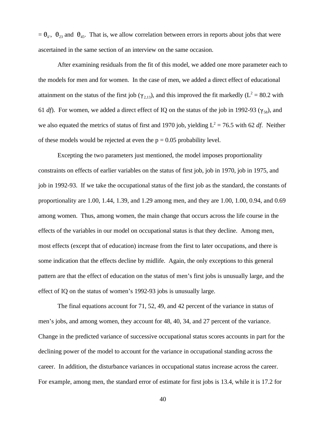$= \theta_{ii'}$ ,  $\theta_{23}$  and  $\theta_{45}$ . That is, we allow correlation between errors in reports about jobs that were ascertained in the same section of an interview on the same occasion.

After examining residuals from the fit of this model, we added one more parameter each to the models for men and for women. In the case of men, we added a direct effect of educational attainment on the status of the first job ( $\gamma_{2,13}$ ), and this improved the fit markedly (L<sup>2</sup> = 80.2 with 61 *df*). For women, we added a direct effect of IQ on the status of the job in 1992-93 ( $\gamma_{58}$ ), and we also equated the metrics of status of first and 1970 job, yielding  $L^2 = 76.5$  with 62 *df*. Neither of these models would be rejected at even the  $p = 0.05$  probability level.

Excepting the two parameters just mentioned, the model imposes proportionality constraints on effects of earlier variables on the status of first job, job in 1970, job in 1975, and job in 1992-93. If we take the occupational status of the first job as the standard, the constants of proportionality are 1.00, 1.44, 1.39, and 1.29 among men, and they are 1.00, 1.00, 0.94, and 0.69 among women. Thus, among women, the main change that occurs across the life course in the effects of the variables in our model on occupational status is that they decline. Among men, most effects (except that of education) increase from the first to later occupations, and there is some indication that the effects decline by midlife. Again, the only exceptions to this general pattern are that the effect of education on the status of men's first jobs is unusually large, and the effect of IQ on the status of women's 1992-93 jobs is unusually large.

The final equations account for 71, 52, 49, and 42 percent of the variance in status of men's jobs, and among women, they account for 48, 40, 34, and 27 percent of the variance. Change in the predicted variance of successive occupational status scores accounts in part for the declining power of the model to account for the variance in occupational standing across the career. In addition, the disturbance variances in occupational status increase across the career. For example, among men, the standard error of estimate for first jobs is 13.4, while it is 17.2 for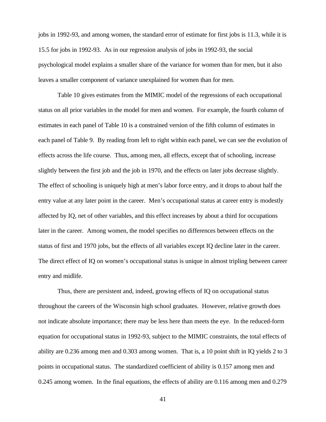jobs in 1992-93, and among women, the standard error of estimate for first jobs is 11.3, while it is 15.5 for jobs in 1992-93. As in our regression analysis of jobs in 1992-93, the social psychological model explains a smaller share of the variance for women than for men, but it also leaves a smaller component of variance unexplained for women than for men.

Table 10 gives estimates from the MIMIC model of the regressions of each occupational status on all prior variables in the model for men and women. For example, the fourth column of estimates in each panel of Table 10 is a constrained version of the fifth column of estimates in each panel of Table 9. By reading from left to right within each panel, we can see the evolution of effects across the life course. Thus, among men, all effects, except that of schooling, increase slightly between the first job and the job in 1970, and the effects on later jobs decrease slightly. The effect of schooling is uniquely high at men's labor force entry, and it drops to about half the entry value at any later point in the career. Men's occupational status at career entry is modestly affected by IQ, net of other variables, and this effect increases by about a third for occupations later in the career. Among women, the model specifies no differences between effects on the status of first and 1970 jobs, but the effects of all variables except IQ decline later in the career. The direct effect of IQ on women's occupational status is unique in almost tripling between career entry and midlife.

Thus, there are persistent and, indeed, growing effects of IQ on occupational status throughout the careers of the Wisconsin high school graduates. However, relative growth does not indicate absolute importance; there may be less here than meets the eye. In the reduced-form equation for occupational status in 1992-93, subject to the MIMIC constraints, the total effects of ability are 0.236 among men and 0.303 among women. That is, a 10 point shift in IQ yields 2 to 3 points in occupational status. The standardized coefficient of ability is 0.157 among men and 0.245 among women. In the final equations, the effects of ability are 0.116 among men and 0.279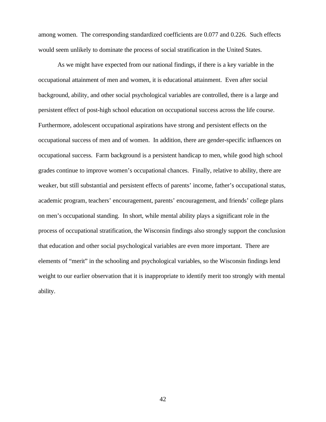among women. The corresponding standardized coefficients are 0.077 and 0.226. Such effects would seem unlikely to dominate the process of social stratification in the United States.

As we might have expected from our national findings, if there is a key variable in the occupational attainment of men and women, it is educational attainment. Even after social background, ability, and other social psychological variables are controlled, there is a large and persistent effect of post-high school education on occupational success across the life course. Furthermore, adolescent occupational aspirations have strong and persistent effects on the occupational success of men and of women. In addition, there are gender-specific influences on occupational success. Farm background is a persistent handicap to men, while good high school grades continue to improve women's occupational chances. Finally, relative to ability, there are weaker, but still substantial and persistent effects of parents' income, father's occupational status, academic program, teachers' encouragement, parents' encouragement, and friends' college plans on men's occupational standing. In short, while mental ability plays a significant role in the process of occupational stratification, the Wisconsin findings also strongly support the conclusion that education and other social psychological variables are even more important. There are elements of "merit" in the schooling and psychological variables, so the Wisconsin findings lend weight to our earlier observation that it is inappropriate to identify merit too strongly with mental ability.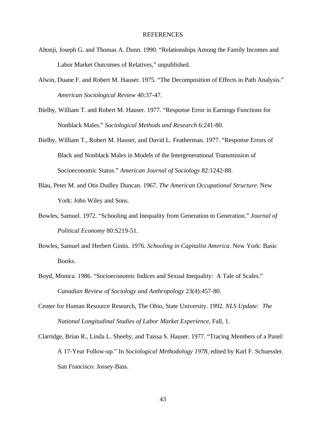#### REFERENCES

- Altonji, Joseph G. and Thomas A. Dunn. 1990. "Relationships Among the Family Incomes and Labor Market Outcomes of Relatives," unpublished.
- Alwin, Duane F. and Robert M. Hauser. 1975. "The Decomposition of Effects in Path Analysis." *American Sociological Review* 40:37-47.
- Bielby, William T. and Robert M. Hauser. 1977. "Response Error in Earnings Functions for Nonblack Males." *Sociological Methods and Research* 6:241-80.
- Bielby, William T., Robert M. Hauser, and David L. Featherman. 1977. "Response Errors of Black and Nonblack Males in Models of the Intergenerational Transmission of Socioeconomic Status." *American Journal of Sociology* 82:1242-88.
- Blau, Peter M. and Otis Dudley Duncan. 1967. *The American Occupational Structure*. New York: John Wiley and Sons.
- Bowles, Samuel. 1972. "Schooling and Inequality from Generation to Generation." *Journal of Political Economy* 80:S219-51.
- Bowles, Samuel and Herbert Gintis. 1976. *Schooling in Capitalist America*. New York: Basic Books.
- Boyd, Monica. 1986. "Socioeconomic Indices and Sexual Inequality: A Tale of Scales." *Canadian Review of Sociology and Anthropology* 23(4):457-80.
- Center for Human Resource Research, The Ohio, State University. 1992. *NLS Update: The National Longitudinal Studies of Labor Market Experience*, Fall, 1.
- Clarridge, Brian R., Linda L. Sheehy, and Taissa S. Hauser. 1977. "Tracing Members of a Panel: A 17-Year Follow-up." In *Sociological Methodology 1978*, edited by Karl F. Schuessler. San Francisco: Jossey-Bass.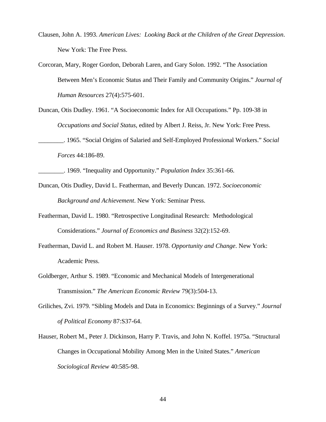- Clausen, John A. 1993. *American Lives: Looking Back at the Children of the Great Depression*. New York: The Free Press.
- Corcoran, Mary, Roger Gordon, Deborah Laren, and Gary Solon. 1992. "The Association Between Men's Economic Status and Their Family and Community Origins." *Journal of Human Resources* 27(4):575-601.
- Duncan, Otis Dudley. 1961. "A Socioeconomic Index for All Occupations." Pp. 109-38 in *Occupations and Social Status*, edited by Albert J. Reiss, Jr. New York: Free Press.
- \_\_\_\_\_\_\_\_. 1965. "Social Origins of Salaried and Self-Employed Professional Workers." *Social Forces* 44:186-89.
- \_\_\_\_\_\_\_\_. 1969. "Inequality and Opportunity." *Population Index* 35:361-66.
- Duncan, Otis Dudley, David L. Featherman, and Beverly Duncan. 1972. *Socioeconomic Background and Achievement*. New York: Seminar Press.
- Featherman, David L. 1980. "Retrospective Longitudinal Research: Methodological Considerations." *Journal of Economics and Business* 32(2):152-69.
- Featherman, David L. and Robert M. Hauser. 1978. *Opportunity and Change*. New York: Academic Press.
- Goldberger, Arthur S. 1989. "Economic and Mechanical Models of Intergenerational Transmission." *The American Economic Review* 79(3):504-13.
- Griliches, Zvi. 1979. "Sibling Models and Data in Economics: Beginnings of a Survey." *Journal of Political Economy* 87:S37-64.
- Hauser, Robert M., Peter J. Dickinson, Harry P. Travis, and John N. Koffel. 1975a. "Structural Changes in Occupational Mobility Among Men in the United States." *American Sociological Review* 40:585-98.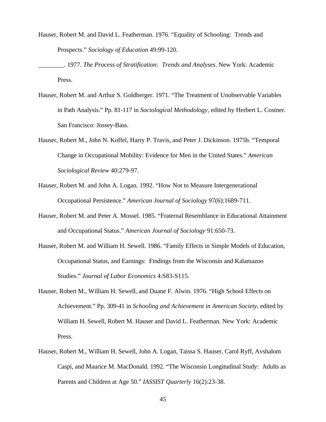- Hauser, Robert M. and David L. Featherman. 1976. "Equality of Schooling: Trends and Prospects." *Sociology of Education* 49:99-120.
- \_\_\_\_\_\_\_\_. 1977. *The Process of Stratification: Trends and Analyses*. New York: Academic Press.
- Hauser, Robert M. and Arthur S. Goldberger. 1971. "The Treatment of Unobservable Variables in Path Analysis." Pp. 81-117 in *Sociological Methodology*, edited by Herbert L. Costner. San Francisco: Jossey-Bass.
- Hauser, Robert M., John N. Koffel, Harry P. Travis, and Peter J. Dickinson. 1975b. "Temporal Change in Occupational Mobility: Evidence for Men in the United States." *American Sociological Review* 40:279-97.
- Hauser, Robert M. and John A. Logan. 1992. "How Not to Measure Intergenerational Occupational Persistence." *American Journal of Sociology* 97(6):1689-711.
- Hauser, Robert M. and Peter A. Mossel. 1985. "Fraternal Resemblance in Educational Attainment and Occupational Status." *American Journal of Sociology* 91:650-73.
- Hauser, Robert M. and William H. Sewell. 1986. "Family Effects in Simple Models of Education, Occupational Status, and Earnings: Findings from the Wisconsin and Kalamazoo Studies." *Journal of Labor Economics* 4:S83-S115.
- Hauser, Robert M., William H. Sewell, and Duane F. Alwin. 1976. "High School Effects on Achievement." Pp. 309-41 in *Schooling and Achievement in American Society*, edited by William H. Sewell, Robert M. Hauser and David L. Featherman. New York: Academic Press.
- Hauser, Robert M., William H. Sewell, John A. Logan, Taissa S. Hauser, Carol Ryff, Avshalom Caspi, and Maurice M. MacDonald. 1992. "The Wisconsin Longitudinal Study: Adults as Parents and Children at Age 50." *IASSIST Quarterly* 16(2):23-38.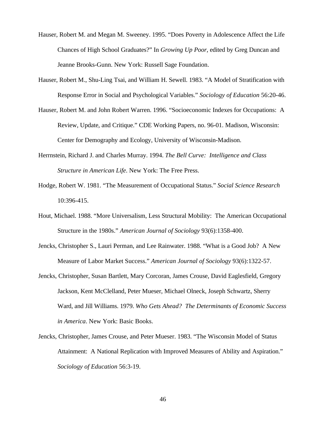- Hauser, Robert M. and Megan M. Sweeney. 1995. "Does Poverty in Adolescence Affect the Life Chances of High School Graduates?" In *Growing Up Poor*, edited by Greg Duncan and Jeanne Brooks-Gunn. New York: Russell Sage Foundation.
- Hauser, Robert M., Shu-Ling Tsai, and William H. Sewell. 1983. "A Model of Stratification with Response Error in Social and Psychological Variables." *Sociology of Education* 56:20-46.
- Hauser, Robert M. and John Robert Warren. 1996. "Socioeconomic Indexes for Occupations: A Review, Update, and Critique." CDE Working Papers, no. 96-01. Madison, Wisconsin: Center for Demography and Ecology, University of Wisconsin-Madison.
- Herrnstein, Richard J. and Charles Murray. 1994. *The Bell Curve: Intelligence and Class Structure in American Life*. New York: The Free Press.
- Hodge, Robert W. 1981. "The Measurement of Occupational Status." *Social Science Research* 10:396-415.
- Hout, Michael. 1988. "More Universalism, Less Structural Mobility: The American Occupational Structure in the 1980s." *American Journal of Sociology* 93(6):1358-400.
- Jencks, Christopher S., Lauri Perman, and Lee Rainwater. 1988. "What is a Good Job? A New Measure of Labor Market Success." *American Journal of Sociology* 93(6):1322-57.
- Jencks, Christopher, Susan Bartlett, Mary Corcoran, James Crouse, David Eaglesfield, Gregory Jackson, Kent McClelland, Peter Mueser, Michael Olneck, Joseph Schwartz, Sherry Ward, and Jill Williams. 1979. *Who Gets Ahead? The Determinants of Economic Success in America*. New York: Basic Books.
- Jencks, Christopher, James Crouse, and Peter Mueser. 1983. "The Wisconsin Model of Status Attainment: A National Replication with Improved Measures of Ability and Aspiration." *Sociology of Education* 56:3-19.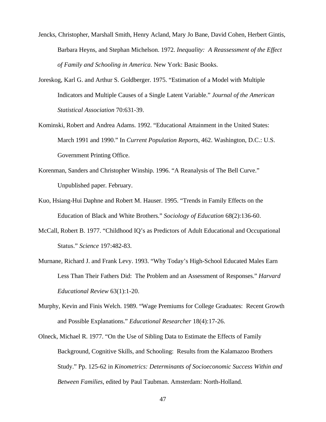- Jencks, Christopher, Marshall Smith, Henry Acland, Mary Jo Bane, David Cohen, Herbert Gintis, Barbara Heyns, and Stephan Michelson. 1972. *Inequality: A Reassessment of the Effect of Family and Schooling in America*. New York: Basic Books.
- Joreskog, Karl G. and Arthur S. Goldberger. 1975. "Estimation of a Model with Multiple Indicators and Multiple Causes of a Single Latent Variable." *Journal of the American Statistical Association* 70:631-39.
- Kominski, Robert and Andrea Adams. 1992. "Educational Attainment in the United States: March 1991 and 1990." In *Current Population Reports*, 462. Washington, D.C.: U.S. Government Printing Office.
- Korenman, Sanders and Christopher Winship. 1996. "A Reanalysis of The Bell Curve." Unpublished paper. February.
- Kuo, Hsiang-Hui Daphne and Robert M. Hauser. 1995. "Trends in Family Effects on the Education of Black and White Brothers." *Sociology of Education* 68(2):136-60.
- McCall, Robert B. 1977. "Childhood IQ's as Predictors of Adult Educational and Occupational Status." *Science* 197:482-83.
- Murnane, Richard J. and Frank Levy. 1993. "Why Today's High-School Educated Males Earn Less Than Their Fathers Did: The Problem and an Assessment of Responses." *Harvard Educational Review* 63(1):1-20.
- Murphy, Kevin and Finis Welch. 1989. "Wage Premiums for College Graduates: Recent Growth and Possible Explanations." *Educational Researcher* 18(4):17-26.
- Olneck, Michael R. 1977. "On the Use of Sibling Data to Estimate the Effects of Family Background, Cognitive Skills, and Schooling: Results from the Kalamazoo Brothers Study." Pp. 125-62 in *Kinometrics: Determinants of Socioeconomic Success Within and Between Families*, edited by Paul Taubman. Amsterdam: North-Holland.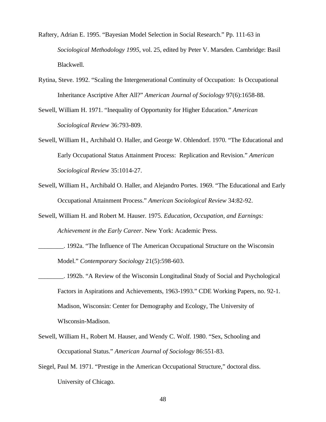- Raftery, Adrian E. 1995. "Bayesian Model Selection in Social Research." Pp. 111-63 in *Sociological Methodology 1995*, vol. 25, edited by Peter V. Marsden. Cambridge: Basil Blackwell.
- Rytina, Steve. 1992. "Scaling the Intergenerational Continuity of Occupation: Is Occupational Inheritance Ascriptive After All?" *American Journal of Sociology* 97(6):1658-88.
- Sewell, William H. 1971. "Inequality of Opportunity for Higher Education." *American Sociological Review* 36:793-809.
- Sewell, William H., Archibald O. Haller, and George W. Ohlendorf. 1970. "The Educational and Early Occupational Status Attainment Process: Replication and Revision." *American Sociological Review* 35:1014-27.
- Sewell, William H., Archibald O. Haller, and Alejandro Portes. 1969. "The Educational and Early Occupational Attainment Process." *American Sociological Review* 34:82-92.
- Sewell, William H. and Robert M. Hauser. 1975. *Education, Occupation, and Earnings: Achievement in the Early Career*. New York: Academic Press.
- \_\_\_\_\_\_\_\_. 1992a. "The Influence of The American Occupational Structure on the Wisconsin Model." *Contemporary Sociology* 21(5):598-603.
- \_\_\_\_\_\_\_\_. 1992b. "A Review of the Wisconsin Longitudinal Study of Social and Psychological Factors in Aspirations and Achievements, 1963-1993." CDE Working Papers, no. 92-1. Madison, Wisconsin: Center for Demography and Ecology, The University of WIsconsin-Madison.
- Sewell, William H., Robert M. Hauser, and Wendy C. Wolf. 1980. "Sex, Schooling and Occupational Status." *American Journal of Sociology* 86:551-83.
- Siegel, Paul M. 1971. "Prestige in the American Occupational Structure," doctoral diss. University of Chicago.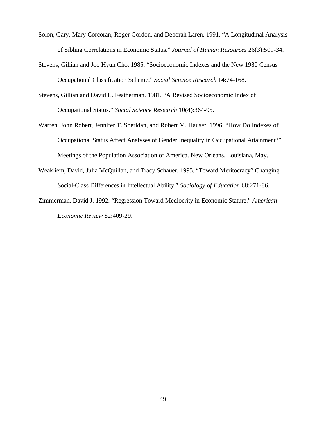- Solon, Gary, Mary Corcoran, Roger Gordon, and Deborah Laren. 1991. "A Longitudinal Analysis of Sibling Correlations in Economic Status." *Journal of Human Resources* 26(3):509-34.
- Stevens, Gillian and Joo Hyun Cho. 1985. "Socioeconomic Indexes and the New 1980 Census Occupational Classification Scheme." *Social Science Research* 14:74-168.
- Stevens, Gillian and David L. Featherman. 1981. "A Revised Socioeconomic Index of Occupational Status." *Social Science Research* 10(4):364-95.
- Warren, John Robert, Jennifer T. Sheridan, and Robert M. Hauser. 1996. "How Do Indexes of Occupational Status Affect Analyses of Gender Inequality in Occupational Attainment?" Meetings of the Population Association of America. New Orleans, Louisiana, May.
- Weakliem, David, Julia McQuillan, and Tracy Schauer. 1995. "Toward Meritocracy? Changing Social-Class Differences in Intellectual Ability." *Sociology of Education* 68:271-86.
- Zimmerman, David J. 1992. "Regression Toward Mediocrity in Economic Stature." *American Economic Review* 82:409-29.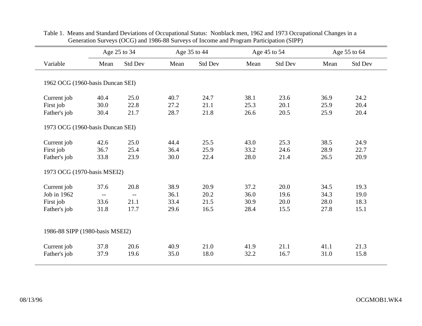|                                  |            | Age 25 to 34          |      | Age 35 to 44 |      | Age 45 to 54 |      | Age 55 to 64 |  |
|----------------------------------|------------|-----------------------|------|--------------|------|--------------|------|--------------|--|
| Variable                         | Mean       | Std Dev               | Mean | Std Dev      | Mean | Std Dev      | Mean | Std Dev      |  |
| 1962 OCG (1960-basis Duncan SEI) |            |                       |      |              |      |              |      |              |  |
|                                  |            |                       |      |              |      |              |      |              |  |
| Current job                      | 40.4       | 25.0                  | 40.7 | 24.7         | 38.1 | 23.6         | 36.9 | 24.2         |  |
| First job                        | 30.0       | 22.8                  | 27.2 | 21.1         | 25.3 | 20.1         | 25.9 | 20.4         |  |
| Father's job                     | 30.4       | 21.7                  | 28.7 | 21.8         | 26.6 | 20.5         | 25.9 | 20.4         |  |
| 1973 OCG (1960-basis Duncan SEI) |            |                       |      |              |      |              |      |              |  |
| Current job                      | 42.6       | 25.0                  | 44.4 | 25.5         | 43.0 | 25.3         | 38.5 | 24.9         |  |
| First job                        | 36.7       | 25.4                  | 36.4 | 25.9         | 33.2 | 24.6         | 28.9 | 22.7         |  |
| Father's job                     | 33.8       | 23.9                  | 30.0 | 22.4         | 28.0 | 21.4         | 26.5 | 20.9         |  |
| 1973 OCG (1970-basis MSEI2)      |            |                       |      |              |      |              |      |              |  |
| Current job                      | 37.6       | 20.8                  | 38.9 | 20.9         | 37.2 | 20.0         | 34.5 | 19.3         |  |
| Job in 1962                      | $\sim$ $-$ | $\mathcal{L}^{\perp}$ | 36.1 | 20.2         | 36.0 | 19.6         | 34.3 | 19.0         |  |
| First job                        | 33.6       | 21.1                  | 33.4 | 21.5         | 30.9 | 20.0         | 28.0 | 18.3         |  |
| Father's job                     | 31.8       | 17.7                  | 29.6 | 16.5         | 28.4 | 15.5         | 27.8 | 15.1         |  |
| 1986-88 SIPP (1980-basis MSEI2)  |            |                       |      |              |      |              |      |              |  |
| Current job                      | 37.8       | 20.6                  | 40.9 | 21.0         | 41.9 | 21.1         | 41.1 | 21.3         |  |
| Father's job                     | 37.9       | 19.6                  | 35.0 | 18.0         | 32.2 | 16.7         | 31.0 | 15.8         |  |

## Table 1. Means and Standard Deviations of Occupational Status: Nonblack men, 1962 and 1973 Occupational Changes in a Generation Surveys (OCG) and 1986-88 Surveys of Income and Program Participation (SIPP)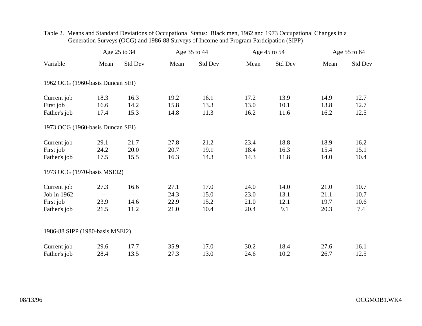|                                  | Age 25 to 34                                  |                          | Age 35 to 44 |         | Age 45 to 54 |         | Age 55 to 64 |         |
|----------------------------------|-----------------------------------------------|--------------------------|--------------|---------|--------------|---------|--------------|---------|
| Variable                         | Mean                                          | Std Dev                  | Mean         | Std Dev | Mean         | Std Dev | Mean         | Std Dev |
| 1962 OCG (1960-basis Duncan SEI) |                                               |                          |              |         |              |         |              |         |
| Current job                      | 18.3                                          | 16.3                     | 19.2         | 16.1    | 17.2         | 13.9    | 14.9         | 12.7    |
| First job                        | 16.6                                          | 14.2                     | 15.8         | 13.3    | 13.0         | 10.1    | 13.8         | 12.7    |
| Father's job                     | 17.4                                          | 15.3                     | 14.8         | 11.3    | 16.2         | 11.6    | 16.2         | 12.5    |
| 1973 OCG (1960-basis Duncan SEI) |                                               |                          |              |         |              |         |              |         |
| Current job                      | 29.1                                          | 21.7                     | 27.8         | 21.2    | 23.4         | 18.8    | 18.9         | 16.2    |
| First job                        | 24.2                                          | 20.0                     | 20.7         | 19.1    | 18.4         | 16.3    | 15.4         | 15.1    |
| Father's job                     | 17.5                                          | 15.5                     | 16.3         | 14.3    | 14.3         | 11.8    | 14.0         | 10.4    |
| 1973 OCG (1970-basis MSEI2)      |                                               |                          |              |         |              |         |              |         |
| Current job                      | 27.3                                          | 16.6                     | 27.1         | 17.0    | 24.0         | 14.0    | 21.0         | 10.7    |
| Job in 1962                      | $\mathord{\hspace{1pt}\text{--}\hspace{1pt}}$ | $\overline{\phantom{a}}$ | 24.3         | 15.0    | 23.0         | 13.1    | 21.1         | 10.7    |
| First job                        | 23.9                                          | 14.6                     | 22.9         | 15.2    | 21.0         | 12.1    | 19.7         | 10.6    |
| Father's job                     | 21.5                                          | 11.2                     | 21.0         | 10.4    | 20.4         | 9.1     | 20.3         | 7.4     |
| 1986-88 SIPP (1980-basis MSEI2)  |                                               |                          |              |         |              |         |              |         |
| Current job                      | 29.6                                          | 17.7                     | 35.9         | 17.0    | 30.2         | 18.4    | 27.6         | 16.1    |
| Father's job                     | 28.4                                          | 13.5                     | 27.3         | 13.0    | 24.6         | 10.2    | 26.7         | 12.5    |

## Table 2. Means and Standard Deviations of Occupational Status: Black men, 1962 and 1973 Occupational Changes in a Generation Surveys (OCG) and 1986-88 Surveys of Income and Program Participation (SIPP)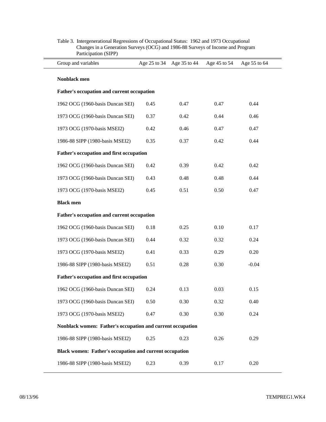| Group and variables                                            |      |      | Age 25 to 34 Age 35 to 44 Age 45 to 54 | Age 55 to 64 |
|----------------------------------------------------------------|------|------|----------------------------------------|--------------|
| Nonblack men                                                   |      |      |                                        |              |
| Father's occupation and current occupation                     |      |      |                                        |              |
| 1962 OCG (1960-basis Duncan SEI)                               | 0.45 | 0.47 | 0.47                                   | 0.44         |
| 1973 OCG (1960-basis Duncan SEI)                               | 0.37 | 0.42 | 0.44                                   | 0.46         |
| 1973 OCG (1970-basis MSEI2)                                    | 0.42 | 0.46 | 0.47                                   | 0.47         |
| 1986-88 SIPP (1980-basis MSEI2)                                | 0.35 | 0.37 | 0.42                                   | 0.44         |
| Father's occupation and first occupation                       |      |      |                                        |              |
| 1962 OCG (1960-basis Duncan SEI)                               | 0.42 | 0.39 | 0.42                                   | 0.42         |
| 1973 OCG (1960-basis Duncan SEI)                               | 0.43 | 0.48 | 0.48                                   | 0.44         |
| 1973 OCG (1970-basis MSEI2)                                    | 0.45 | 0.51 | 0.50                                   | 0.47         |
| <b>Black men</b>                                               |      |      |                                        |              |
| Father's occupation and current occupation                     |      |      |                                        |              |
| 1962 OCG (1960-basis Duncan SEI)                               | 0.18 | 0.25 | 0.10                                   | 0.17         |
| 1973 OCG (1960-basis Duncan SEI)                               | 0.44 | 0.32 | 0.32                                   | 0.24         |
| 1973 OCG (1970-basis MSEI2)                                    | 0.41 | 0.33 | 0.29                                   | 0.20         |
| 1986-88 SIPP (1980-basis MSEI2)                                | 0.51 | 0.28 | 0.30                                   | $-0.04$      |
| Father's occupation and first occupation                       |      |      |                                        |              |
| 1962 OCG (1960-basis Duncan SEI)                               | 0.24 | 0.13 | 0.03                                   | 0.15         |
| 1973 OCG (1960-basis Duncan SEI)                               | 0.50 | 0.30 | 0.32                                   | 0.40         |
| 1973 OCG (1970-basis MSEI2)                                    | 0.47 | 0.30 | 0.30                                   | 0.24         |
| Nonblack women: Father's occupation and current occupation     |      |      |                                        |              |
| 1986-88 SIPP (1980-basis MSEI2)                                | 0.25 | 0.23 | 0.26                                   | 0.29         |
| <b>Black women: Father's occupation and current occupation</b> |      |      |                                        |              |
| 1986-88 SIPP (1980-basis MSEI2)                                | 0.23 | 0.39 | 0.17                                   | 0.20         |

| Table 3. Intergenerational Regressions of Occupational Status: 1962 and 1973 Occupational |
|-------------------------------------------------------------------------------------------|
| Changes in a Generation Surveys (OCG) and 1986-88 Surveys of Income and Program           |
| Participation (SIPP)                                                                      |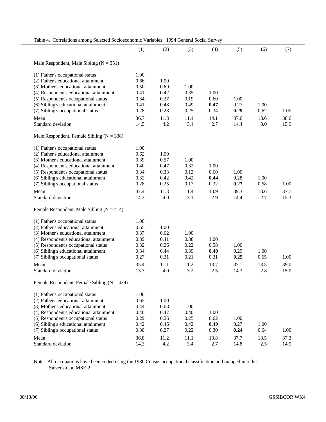|  | Table 4. Correlations among Selected Socioeconomic Variables: 1994 General Social Survey |  |  |
|--|------------------------------------------------------------------------------------------|--|--|

|                                                 | (1)  | (2)  | (3)  | (4)  | (5)  | (6)  | (7)  |  |
|-------------------------------------------------|------|------|------|------|------|------|------|--|
| Male Respondent, Male Sibling ( $N = 351$ )     |      |      |      |      |      |      |      |  |
| (1) Father's occupational status                | 1.00 |      |      |      |      |      |      |  |
| (2) Father's educational attainment             | 0.66 | 1.00 |      |      |      |      |      |  |
| (3) Mother's educational attainment             | 0.50 | 0.69 | 1.00 |      |      |      |      |  |
| (4) Respondent's educational attainment         | 0.41 | 0.42 | 0.35 | 1.00 |      |      |      |  |
| (5) Respondent's occupational status            | 0.34 | 0.27 | 0.19 | 0.60 | 1.00 |      |      |  |
| (6) Sibling's educational attainment            | 0.41 | 0.48 | 0.49 | 0.47 | 0.27 | 1.00 |      |  |
| (7) Sibling's occupational status               | 0.28 | 0.28 | 0.25 | 0.34 | 0.29 | 0.62 | 1.00 |  |
|                                                 |      |      |      |      |      |      |      |  |
| Mean                                            | 36.7 | 11.3 | 11.4 | 14.1 | 37.6 | 13.6 | 38.6 |  |
| Standard deviation                              | 14.5 | 4.2  | 3.4  | 2.7  | 14.4 | 3.0  | 15.9 |  |
| Male Respondent, Female Sibling ( $N = 338$ )   |      |      |      |      |      |      |      |  |
| (1) Father's occupational status                | 1.00 |      |      |      |      |      |      |  |
| (2) Father's educational attainment             | 0.62 | 1.00 |      |      |      |      |      |  |
| (3) Mother's educational attainment             | 0.39 | 0.57 | 1.00 |      |      |      |      |  |
| (4) Respondent's educational attainment         | 0.40 | 0.47 | 0.32 | 1.00 |      |      |      |  |
| (5) Respondent's occupational status            | 0.34 | 0.33 | 0.13 | 0.60 | 1.00 |      |      |  |
| (6) Sibling's educational attainment            | 0.32 | 0.42 | 0.42 | 0.44 | 0.28 | 1.00 |      |  |
| (7) Sibling's occupational status               | 0.28 | 0.25 | 0.17 | 0.32 | 0.27 | 0.58 | 1.00 |  |
| Mean                                            | 37.4 | 11.3 | 11.4 | 13.9 | 39.3 | 13.6 | 37.7 |  |
| Standard deviation                              | 14.3 | 4.0  | 3.1  | 2.9  | 14.4 | 2.7  | 15.3 |  |
|                                                 |      |      |      |      |      |      |      |  |
| Female Respondent, Male Sibling ( $N = 414$ )   |      |      |      |      |      |      |      |  |
| (1) Father's occupational status                | 1.00 |      |      |      |      |      |      |  |
| (2) Father's educational attainment             | 0.65 | 1.00 |      |      |      |      |      |  |
| (3) Mother's educational attainment             | 0.37 | 0.62 | 1.00 |      |      |      |      |  |
| (4) Respondent's educational attainment         | 0.39 | 0.41 | 0.38 | 1.00 |      |      |      |  |
| (5) Respondent's occupational status            | 0.32 | 0.26 | 0.22 | 0.58 | 1.00 |      |      |  |
| (6) Sibling's educational attainment            | 0.34 | 0.44 | 0.39 | 0.40 | 0.29 | 1.00 |      |  |
| (7) Sibling's occupational status               | 0.27 | 0.31 | 0.21 | 0.31 | 0.25 | 0.65 | 1.00 |  |
| Mean                                            | 35.4 | 11.1 | 11.2 | 13.7 | 37.1 | 13.5 | 39.0 |  |
| Standard deviation                              | 13.3 | 4.0  | 3.2  | 2.5  | 14.3 | 2.8  | 15.0 |  |
|                                                 |      |      |      |      |      |      |      |  |
| Female Respondent, Female Sibling ( $N = 429$ ) |      |      |      |      |      |      |      |  |
| (1) Father's occupational status                | 1.00 |      |      |      |      |      |      |  |
| (2) Father's educational attainment             | 0.65 | 1.00 |      |      |      |      |      |  |
| (3) Mother's educational attainment             | 0.44 | 0.68 | 1.00 |      |      |      |      |  |
| (4) Respondent's educational attainment         | 0.40 | 0.47 | 0.40 | 1.00 |      |      |      |  |
| (5) Respondent's occupational status            | 0.29 | 0.26 | 0.25 | 0.62 | 1.00 |      |      |  |
| (6) Sibling's educational attainment            | 0.42 | 0.46 | 0.42 | 0.49 | 0.27 | 1.00 |      |  |
| (7) Sibling's occupational status               | 0.30 | 0.27 | 0.22 | 0.30 | 0.24 | 0.64 | 1.00 |  |
| Mean                                            | 36.8 | 11.2 | 11.1 | 13.8 | 37.7 | 13.5 | 37.3 |  |
| Standard deviation                              | 14.3 | 4.2  | 3.4  | 2.7  | 14.8 | 2.5  | 14.9 |  |
|                                                 |      |      |      |      |      |      |      |  |

Note: All occupations have been coded using the 1980 Census occupational classification and mapped into the Stevens-Cho MSEI2.

 $\equiv$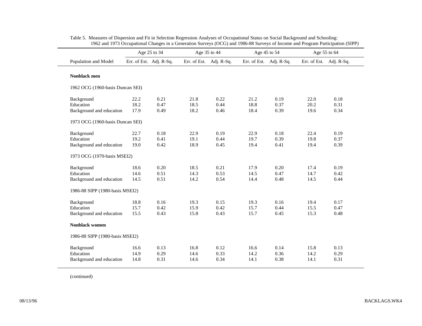|                                  | Age 25 to 34 |                         |      | Age 35 to 44            |      | Age 45 to 54            |                         | Age 55 to 64 |
|----------------------------------|--------------|-------------------------|------|-------------------------|------|-------------------------|-------------------------|--------------|
| Population and Model             |              | Err. of Est. Adj. R-Sq. |      | Err. of Est. Adj. R-Sq. |      | Err. of Est. Adj. R-Sq. | Err. of Est. Adj. R-Sq. |              |
| Nonblack men                     |              |                         |      |                         |      |                         |                         |              |
| 1962 OCG (1960-basis Duncan SEI) |              |                         |      |                         |      |                         |                         |              |
| Background                       | 22.2         | 0.21                    | 21.8 | 0.22                    | 21.2 | 0.19                    | 22.0                    | 0.18         |
| Education                        | 18.2         | 0.47                    | 18.5 | 0.44                    | 18.8 | 0.37                    | 20.2                    | 0.31         |
| Background and education         | 17.9         | 0.49                    | 18.2 | 0.46                    | 18.4 | 0.39                    | 19.6                    | 0.34         |
| 1973 OCG (1960-basis Duncan SEI) |              |                         |      |                         |      |                         |                         |              |
| Background                       | 22.7         | 0.18                    | 22.9 | 0.19                    | 22.9 | 0.18                    | 22.4                    | 0.19         |
| Education                        | 19.2         | 0.41                    | 19.1 | 0.44                    | 19.7 | 0.39                    | 19.8                    | 0.37         |
| Background and education         | 19.0         | 0.42                    | 18.9 | 0.45                    | 19.4 | 0.41                    | 19.4                    | 0.39         |
| 1973 OCG (1970-basis MSEI2)      |              |                         |      |                         |      |                         |                         |              |
| Background                       | 18.6         | 0.20                    | 18.5 | 0.21                    | 17.9 | 0.20                    | 17.4                    | 0.19         |
| Education                        | 14.6         | 0.51                    | 14.3 | 0.53                    | 14.5 | 0.47                    | 14.7                    | 0.42         |
| Background and education         | 14.5         | 0.51                    | 14.2 | 0.54                    | 14.4 | 0.48                    | 14.5                    | 0.44         |
| 1986-88 SIPP (1980-basis MSEI2)  |              |                         |      |                         |      |                         |                         |              |
| Background                       | 18.8         | 0.16                    | 19.3 | 0.15                    | 19.3 | 0.16                    | 19.4                    | 0.17         |
| Education                        | 15.7         | 0.42                    | 15.9 | 0.42                    | 15.7 | 0.44                    | 15.5                    | 0.47         |
| Background and education         | 15.5         | 0.43                    | 15.8 | 0.43                    | 15.7 | 0.45                    | 15.3                    | 0.48         |
| <b>Nonblack women</b>            |              |                         |      |                         |      |                         |                         |              |
| 1986-88 SIPP (1980-basis MSEI2)  |              |                         |      |                         |      |                         |                         |              |
| Background                       | 16.6         | 0.13                    | 16.8 | 0.12                    | 16.6 | 0.14                    | 15.8                    | 0.13         |
| Education                        | 14.9         | 0.29                    | 14.6 | 0.33                    | 14.2 | 0.36                    | 14.2                    | 0.29         |
| Background and education         | 14.8         | 0.31                    | 14.6 | 0.34                    | 14.1 | 0.38                    | 14.1                    | 0.31         |

| Table 5. Measures of Dispersion and Fit in Selection Regression Analyses of Occupational Status on Social Background and Schooling: |
|-------------------------------------------------------------------------------------------------------------------------------------|
| 1962 and 1973 Occupational Changes in a Generation Surveys (OCG) and 1986-88 Surveys of Income and Program Participation (SIPP)     |

(continued)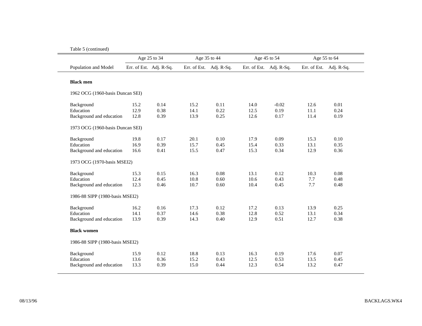|                                  | Age 25 to 34 |                         |                         | Age 35 to 44 | Age 45 to 54            |         |                         | Age 55 to 64 |
|----------------------------------|--------------|-------------------------|-------------------------|--------------|-------------------------|---------|-------------------------|--------------|
| Population and Model             |              | Err. of Est. Adj. R-Sq. | Err. of Est. Adj. R-Sq. |              | Err. of Est. Adj. R-Sq. |         | Err. of Est. Adj. R-Sq. |              |
| <b>Black men</b>                 |              |                         |                         |              |                         |         |                         |              |
| 1962 OCG (1960-basis Duncan SEI) |              |                         |                         |              |                         |         |                         |              |
| Background                       | 15.2         | 0.14                    | 15.2                    | 0.11         | 14.0                    | $-0.02$ | 12.6                    | 0.01         |
| Education                        | 12.9         | 0.38                    | 14.1                    | 0.22         | 12.5                    | 0.19    | 11.1                    | 0.24         |
| Background and education         | 12.8         | 0.39                    | 13.9                    | 0.25         | 12.6                    | 0.17    | 11.4                    | 0.19         |
| 1973 OCG (1960-basis Duncan SEI) |              |                         |                         |              |                         |         |                         |              |
| Background                       | 19.8         | 0.17                    | 20.1                    | 0.10         | 17.9                    | 0.09    | 15.3                    | 0.10         |
| Education                        | 16.9         | 0.39                    | 15.7                    | 0.45         | 15.4                    | 0.33    | 13.1                    | 0.35         |
| Background and education         | 16.6         | 0.41                    | 15.5                    | 0.47         | 15.3                    | 0.34    | 12.9                    | 0.36         |
| 1973 OCG (1970-basis MSEI2)      |              |                         |                         |              |                         |         |                         |              |
| Background                       | 15.3         | 0.15                    | 16.3                    | 0.08         | 13.1                    | 0.12    | 10.3                    | 0.08         |
| Education                        | 12.4         | 0.45                    | 10.8                    | 0.60         | 10.6                    | 0.43    | 7.7                     | 0.48         |
| Background and education         | 12.3         | 0.46                    | 10.7                    | 0.60         | 10.4                    | 0.45    | 7.7                     | 0.48         |
| 1986-88 SIPP (1980-basis MSEI2)  |              |                         |                         |              |                         |         |                         |              |
| Background                       | 16.2         | 0.16                    | 17.3                    | 0.12         | 17.2                    | 0.13    | 13.9                    | 0.25         |
| Education                        | 14.1         | 0.37                    | 14.6                    | 0.38         | 12.8                    | 0.52    | 13.1                    | 0.34         |
| Background and education         | 13.9         | 0.39                    | 14.3                    | 0.40         | 12.9                    | 0.51    | 12.7                    | 0.38         |
| <b>Black women</b>               |              |                         |                         |              |                         |         |                         |              |
| 1986-88 SIPP (1980-basis MSEI2)  |              |                         |                         |              |                         |         |                         |              |
| Background                       | 15.9         | 0.12                    | 18.8                    | 0.13         | 16.3                    | 0.19    | 17.6                    | 0.07         |
| Education                        | 13.6         | 0.36                    | 15.2                    | 0.43         | 12.5                    | 0.53    | 13.5                    | 0.45         |
| Background and education         | 13.3         | 0.39                    | 15.0                    | 0.44         | 12.3                    | 0.54    | 13.2                    | 0.47         |

Table 5 (continued)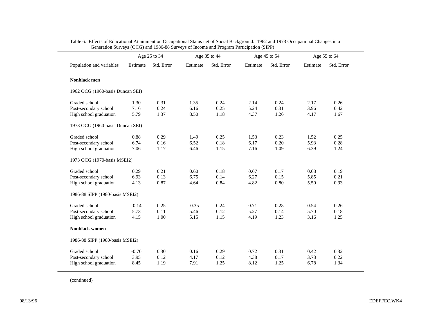|                                  | Age 25 to 34 |            |          | Age 35 to 44 |          | Age 45 to 54 | Age 55 to 64 |            |
|----------------------------------|--------------|------------|----------|--------------|----------|--------------|--------------|------------|
| Population and variables         | Estimate     | Std. Error | Estimate | Std. Error   | Estimate | Std. Error   | Estimate     | Std. Error |
| Nonblack men                     |              |            |          |              |          |              |              |            |
| 1962 OCG (1960-basis Duncan SEI) |              |            |          |              |          |              |              |            |
| Graded school                    | 1.30         | 0.31       | 1.35     | 0.24         | 2.14     | 0.24         | 2.17         | 0.26       |
| Post-secondary school            | 7.16         | 0.24       | 6.16     | 0.25         | 5.24     | 0.31         | 3.96         | 0.42       |
| High school graduation           | 5.79         | 1.37       | 8.50     | 1.18         | 4.37     | 1.26         | 4.17         | 1.67       |
| 1973 OCG (1960-basis Duncan SEI) |              |            |          |              |          |              |              |            |
| Graded school                    | 0.88         | 0.29       | 1.49     | 0.25         | 1.53     | 0.23         | 1.52         | 0.25       |
| Post-secondary school            | 6.74         | 0.16       | 6.52     | 0.18         | 6.17     | 0.20         | 5.93         | 0.28       |
| High school graduation           | 7.06         | 1.17       | 6.46     | 1.15         | 7.16     | 1.09         | 6.39         | 1.24       |
| 1973 OCG (1970-basis MSEI2)      |              |            |          |              |          |              |              |            |
| Graded school                    | 0.29         | 0.21       | 0.60     | 0.18         | 0.67     | 0.17         | 0.68         | 0.19       |
| Post-secondary school            | 6.93         | 0.13       | 6.75     | 0.14         | 6.27     | 0.15         | 5.85         | 0.21       |
| High school graduation           | 4.13         | 0.87       | 4.64     | 0.84         | 4.82     | 0.80         | 5.50         | 0.93       |
| 1986-88 SIPP (1980-basis MSEI2)  |              |            |          |              |          |              |              |            |
| Graded school                    | $-0.14$      | 0.25       | $-0.35$  | 0.24         | 0.71     | 0.28         | 0.54         | 0.26       |
| Post-secondary school            | 5.73         | 0.11       | 5.46     | 0.12         | 5.27     | 0.14         | 5.70         | 0.18       |
| High school graduation           | 4.15         | 1.00       | 5.15     | 1.15         | 4.19     | 1.23         | 3.16         | 1.25       |
| <b>Nonblack women</b>            |              |            |          |              |          |              |              |            |
| 1986-88 SIPP (1980-basis MSEI2)  |              |            |          |              |          |              |              |            |
| Graded school                    | $-0.70$      | 0.30       | 0.16     | 0.29         | 0.72     | 0.31         | 0.42         | 0.32       |
| Post-secondary school            | 3.95         | 0.12       | 4.17     | 0.12         | 4.38     | 0.17         | 3.73         | 0.22       |
| High school graduation           | 8.45         | 1.19       | 7.91     | 1.25         | 8.12     | 1.25         | 6.78         | 1.34       |

| Table 6. Effects of Educational Attainment on Occupational Status net of Social Background: 1962 and 1973 Occupational Changes in a |  |  |
|-------------------------------------------------------------------------------------------------------------------------------------|--|--|
| Generation Surveys (OCG) and 1986-88 Surveys of Income and Program Participation (SIPP)                                             |  |  |

(continued)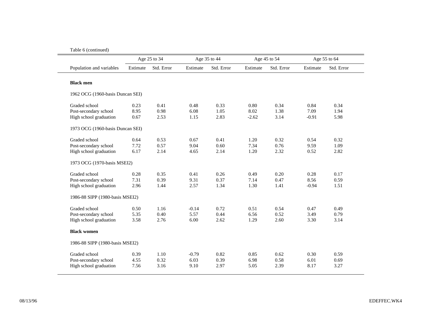|                                  |          | Age 25 to 34 |          | Age 35 to 44 |          | Age 45 to 54 |          | Age 55 to 64 |
|----------------------------------|----------|--------------|----------|--------------|----------|--------------|----------|--------------|
| Population and variables         | Estimate | Std. Error   | Estimate | Std. Error   | Estimate | Std. Error   | Estimate | Std. Error   |
| <b>Black men</b>                 |          |              |          |              |          |              |          |              |
| 1962 OCG (1960-basis Duncan SEI) |          |              |          |              |          |              |          |              |
| Graded school                    | 0.23     | 0.41         | 0.48     | 0.33         | 0.80     | 0.34         | 0.84     | 0.34         |
| Post-secondary school            | 8.95     | 0.98         | 6.08     | 1.05         | 8.02     | 1.38         | 7.09     | 1.94         |
| High school graduation           | 0.67     | 2.53         | 1.15     | 2.83         | $-2.62$  | 3.14         | $-0.91$  | 5.98         |
| 1973 OCG (1960-basis Duncan SEI) |          |              |          |              |          |              |          |              |
| Graded school                    | 0.64     | 0.53         | 0.67     | 0.41         | 1.20     | 0.32         | 0.54     | 0.32         |
| Post-secondary school            | 7.72     | 0.57         | 9.04     | 0.60         | 7.34     | 0.76         | 9.59     | 1.09         |
| High school graduation           | 6.17     | 2.14         | 4.65     | 2.14         | 1.20     | 2.32         | 0.52     | 2.82         |
| 1973 OCG (1970-basis MSEI2)      |          |              |          |              |          |              |          |              |
| Graded school                    | 0.28     | 0.35         | 0.41     | 0.26         | 0.49     | 0.20         | 0.28     | 0.17         |
| Post-secondary school            | 7.31     | 0.39         | 9.31     | 0.37         | 7.14     | 0.47         | 8.56     | 0.59         |
| High school graduation           | 2.96     | 1.44         | 2.57     | 1.34         | 1.30     | 1.41         | $-0.94$  | 1.51         |
| 1986-88 SIPP (1980-basis MSEI2)  |          |              |          |              |          |              |          |              |
| Graded school                    | 0.50     | 1.16         | $-0.14$  | 0.72         | 0.51     | 0.54         | 0.47     | 0.49         |
| Post-secondary school            | 5.35     | 0.40         | 5.57     | 0.44         | 6.56     | 0.52         | 3.49     | 0.79         |
| High school graduation           | 3.58     | 2.76         | 6.00     | 2.62         | 1.29     | 2.60         | 3.30     | 3.14         |
| <b>Black women</b>               |          |              |          |              |          |              |          |              |
| 1986-88 SIPP (1980-basis MSEI2)  |          |              |          |              |          |              |          |              |
| Graded school                    | 0.39     | 1.10         | $-0.79$  | 0.82         | 0.85     | 0.62         | 0.30     | 0.59         |
| Post-secondary school            | 4.55     | 0.32         | 6.03     | 0.39         | 6.98     | 0.58         | 6.01     | 0.69         |
| High school graduation           | 7.56     | 3.16         | 9.10     | 2.97         | 5.05     | 2.39         | 8.17     | 3.27         |

#### Table 6 (continued)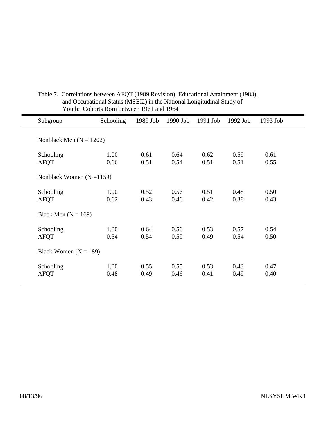| Subgroup                    | Schooling    | 1989 Job     | 1990 Job     | 1991 Job     | 1992 Job     | 1993 Job     |
|-----------------------------|--------------|--------------|--------------|--------------|--------------|--------------|
| Nonblack Men $(N = 1202)$   |              |              |              |              |              |              |
| Schooling<br><b>AFQT</b>    | 1.00<br>0.66 | 0.61<br>0.51 | 0.64<br>0.54 | 0.62<br>0.51 | 0.59<br>0.51 | 0.61<br>0.55 |
| Nonblack Women $(N = 1159)$ |              |              |              |              |              |              |
| Schooling<br><b>AFQT</b>    | 1.00<br>0.62 | 0.52<br>0.43 | 0.56<br>0.46 | 0.51<br>0.42 | 0.48<br>0.38 | 0.50<br>0.43 |
| Black Men $(N = 169)$       |              |              |              |              |              |              |
| Schooling<br><b>AFQT</b>    | 1.00<br>0.54 | 0.64<br>0.54 | 0.56<br>0.59 | 0.53<br>0.49 | 0.57<br>0.54 | 0.54<br>0.50 |
| Black Women $(N = 189)$     |              |              |              |              |              |              |
| Schooling<br><b>AFQT</b>    | 1.00<br>0.48 | 0.55<br>0.49 | 0.55<br>0.46 | 0.53<br>0.41 | 0.43<br>0.49 | 0.47<br>0.40 |

# Table 7. Correlations between AFQT (1989 Revision), Educational Attainment (1988), and Occupational Status (MSEI2) in the National Longitudinal Study of Youth: Cohorts Born between 1961 and 1964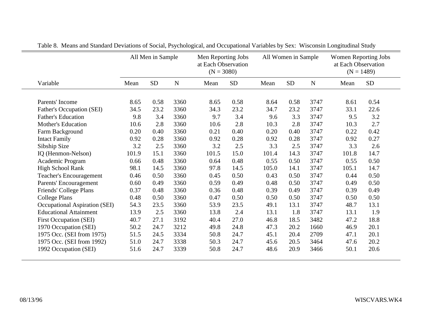|                               | All Men in Sample |      |      | Men Reporting Jobs<br>at Each Observation<br>$(N = 3080)$ |      | All Women in Sample |           |             | Women Reporting Jobs<br>at Each Observation<br>$(N = 1489)$ |           |
|-------------------------------|-------------------|------|------|-----------------------------------------------------------|------|---------------------|-----------|-------------|-------------------------------------------------------------|-----------|
| Variable                      | Mean              | SD   | N    | Mean                                                      | SD   | Mean                | <b>SD</b> | $\mathbf N$ | Mean                                                        | <b>SD</b> |
| Parents' Income               | 8.65              | 0.58 | 3360 | 8.65                                                      | 0.58 | 8.64                | 0.58      | 3747        | 8.61                                                        | 0.54      |
| Father's Occupation (SEI)     | 34.5              | 23.2 | 3360 | 34.3                                                      | 23.2 | 34.7                | 23.2      | 3747        | 33.1                                                        | 22.6      |
| <b>Father's Education</b>     | 9.8               | 3.4  | 3360 | 9.7                                                       | 3.4  | 9.6                 | 3.3       | 3747        | 9.5                                                         | 3.2       |
| <b>Mother's Education</b>     | 10.6              | 2.8  | 3360 | 10.6                                                      | 2.8  | 10.3                | 2.8       | 3747        | 10.3                                                        | 2.7       |
| Farm Background               | 0.20              | 0.40 | 3360 | 0.21                                                      | 0.40 | 0.20                | 0.40      | 3747        | 0.22                                                        | 0.42      |
| <b>Intact Family</b>          | 0.92              | 0.28 | 3360 | 0.92                                                      | 0.28 | 0.92                | 0.28      | 3747        | 0.92                                                        | 0.27      |
| Sibship Size                  | 3.2               | 2.5  | 3360 | 3.2                                                       | 2.5  | 3.3                 | 2.5       | 3747        | 3.3                                                         | 2.6       |
| IQ (Henmon-Nelson)            | 101.9             | 15.1 | 3360 | 101.5                                                     | 15.0 | 101.4               | 14.3      | 3747        | 101.8                                                       | 14.7      |
| Academic Program              | 0.66              | 0.48 | 3360 | 0.64                                                      | 0.48 | 0.55                | 0.50      | 3747        | 0.55                                                        | 0.50      |
| <b>High School Rank</b>       | 98.1              | 14.5 | 3360 | 97.8                                                      | 14.5 | 105.0               | 14.1      | 3747        | 105.1                                                       | 14.7      |
| Teacher's Encouragement       | 0.46              | 0.50 | 3360 | 0.45                                                      | 0.50 | 0.43                | 0.50      | 3747        | 0.44                                                        | 0.50      |
| Parents' Encouragement        | 0.60              | 0.49 | 3360 | 0.59                                                      | 0.49 | 0.48                | 0.50      | 3747        | 0.49                                                        | 0.50      |
| Friends' College Plans        | 0.37              | 0.48 | 3360 | 0.36                                                      | 0.48 | 0.39                | 0.49      | 3747        | 0.39                                                        | 0.49      |
| <b>College Plans</b>          | 0.48              | 0.50 | 3360 | 0.47                                                      | 0.50 | 0.50                | 0.50      | 3747        | 0.50                                                        | 0.50      |
| Occupational Aspiration (SEI) | 54.3              | 23.5 | 3360 | 53.9                                                      | 23.5 | 49.1                | 13.1      | 3747        | 48.7                                                        | 13.1      |
| <b>Educational Attainment</b> | 13.9              | 2.5  | 3360 | 13.8                                                      | 2.4  | 13.1                | 1.8       | 3747        | 13.1                                                        | 1.9       |
| <b>First Occupation (SEI)</b> | 40.7              | 27.1 | 3192 | 40.4                                                      | 27.0 | 46.8                | 18.5      | 3482        | 47.2                                                        | 18.8      |
| 1970 Occupation (SEI)         | 50.2              | 24.7 | 3212 | 49.8                                                      | 24.8 | 47.3                | 20.2      | 1660        | 46.9                                                        | 20.1      |
| 1975 Occ. (SEI from 1975)     | 51.5              | 24.5 | 3334 | 50.8                                                      | 24.7 | 45.1                | 20.4      | 2709        | 47.1                                                        | 20.1      |
| 1975 Occ. (SEI from 1992)     | 51.0              | 24.7 | 3338 | 50.3                                                      | 24.7 | 45.6                | 20.5      | 3464        | 47.6                                                        | 20.2      |
| 1992 Occupation (SEI)         | 51.6              | 24.7 | 3339 | 50.8                                                      | 24.7 | 48.6                | 20.9      | 3466        | 50.1                                                        | 20.6      |

Table 8. Means and Standard Deviations of Social, Psychological, and Occupational Variables by Sex: Wisconsin Longitudinal Study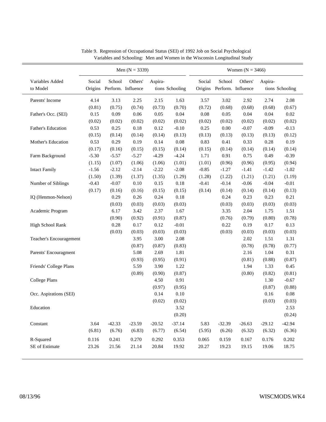|                             | Men $(N = 3339)$ |          |                                       |                            |          |          | Women $(N = 3466)$                   |          |          |                 |  |  |
|-----------------------------|------------------|----------|---------------------------------------|----------------------------|----------|----------|--------------------------------------|----------|----------|-----------------|--|--|
| Variables Added<br>to Model | Social           | School   | Others'<br>Origins Perform. Influence | Aspira-<br>tions Schooling |          | Social   | School<br>Origins Perform. Influence | Others'  | Aspira-  | tions Schooling |  |  |
| Parents' Income             | 4.14             | 3.13     | 2.25                                  | 2.15                       | 1.63     | 3.57     | $3.02\,$                             | 2.92     | 2.74     | 2.08            |  |  |
|                             | (0.81)           | (0.75)   | (0.74)                                | (0.73)                     | (0.70)   | (0.72)   | (0.68)                               | (0.68)   | (0.68)   | (0.67)          |  |  |
| Father's Occ. (SEI)         | 0.15             | 0.09     | 0.06                                  | 0.05                       | 0.04     | $0.08\,$ | 0.05                                 | 0.04     | 0.04     | $0.02\,$        |  |  |
|                             | (0.02)           | (0.02)   | (0.02)                                | (0.02)                     | (0.02)   | (0.02)   | (0.02)                               | (0.02)   | (0.02)   | (0.02)          |  |  |
| Father's Education          | 0.53             | 0.25     | 0.18                                  | $0.12\,$                   | $-0.10$  | 0.25     | $0.00\,$                             | $-0.07$  | $-0.09$  | $-0.13$         |  |  |
|                             | (0.15)           | (0.14)   | (0.14)                                | (0.14)                     | (0.13)   | (0.13)   | (0.13)                               | (0.13)   | (0.13)   | (0.12)          |  |  |
| Mother's Education          | 0.53             | 0.29     | 0.19                                  | 0.14                       | 0.08     | 0.83     | 0.41                                 | 0.33     | 0.28     | 0.19            |  |  |
|                             | (0.17)           | (0.16)   | (0.15)                                | (0.15)                     | (0.14)   | (0.15)   | (0.14)                               | (0.14)   | (0.14)   | (0.14)          |  |  |
| Farm Background             | $-5.30$          | $-5.57$  | $-5.27$                               | $-4.29$                    | $-4.24$  | 1.71     | 0.91                                 | 0.75     | 0.49     | $-0.39$         |  |  |
|                             | (1.15)           | (1.07)   | (1.06)                                | (1.06)                     | (1.01)   | (1.01)   | (0.96)                               | (0.96)   | (0.95)   | (0.94)          |  |  |
| <b>Intact Family</b>        | $-1.56$          | $-2.12$  | $-2.14$                               | $-2.22$                    | $-2.08$  | $-0.85$  | $-1.27$                              | $-1.41$  | $-1.42$  | $-1.02$         |  |  |
|                             | (1.50)           | (1.39)   | (1.37)                                | (1.35)                     | (1.29)   | (1.28)   | (1.22)                               | (1.21)   | (1.21)   | (1.19)          |  |  |
| Number of Siblings          | $-0.43$          | $-0.07$  | 0.10                                  | 0.15                       | $0.18\,$ | $-0.41$  | $-0.14$                              | $-0.06$  | $-0.04$  | $-0.01$         |  |  |
|                             | (0.17)           | (0.16)   | (0.16)                                | (0.15)                     | (0.15)   | (0.14)   | (0.14)                               | (0.14)   | (0.14)   | (0.13)          |  |  |
| IQ (Henmon-Nelson)          |                  | 0.29     | 0.26                                  | 0.24                       | $0.18\,$ |          | 0.24                                 | 0.23     | 0.23     | 0.21            |  |  |
|                             |                  | (0.03)   | (0.03)                                | (0.03)                     | (0.03)   |          | (0.03)                               | (0.03)   | (0.03)   | (0.03)          |  |  |
| Academic Program            |                  | 6.17     | 3.42                                  | 2.37                       | 1.67     |          | 3.35                                 | 2.04     | 1.75     | 1.51            |  |  |
|                             |                  | (0.90)   | (0.92)                                | (0.91)                     | (0.87)   |          | (0.76)                               | (0.79)   | (0.80)   | (0.78)          |  |  |
| <b>High School Rank</b>     |                  | 0.28     | 0.17                                  | $0.12\,$                   | $-0.01$  |          | 0.22                                 | 0.19     | 0.17     | 0.13            |  |  |
|                             |                  | (0.03)   | (0.03)                                | (0.03)                     | (0.03)   |          | (0.03)                               | (0.03)   | (0.03)   | (0.03)          |  |  |
| Teacher's Encouragement     |                  |          | 3.95                                  | 3.00                       | 2.08     |          |                                      | 2.02     | 1.51     | 1.31            |  |  |
|                             |                  |          | (0.87)                                | (0.87)                     | (0.83)   |          |                                      | (0.78)   | (0.78)   | (0.77)          |  |  |
| Parents' Encouragment       |                  |          | 5.08                                  | 2.69                       | 1.81     |          |                                      | 2.16     | 1.04     | 0.31            |  |  |
|                             |                  |          | (0.93)                                | (0.95)                     | (0.91)   |          |                                      | (0.81)   | (0.88)   | (0.87)          |  |  |
| Friends' College Plans      |                  |          | 5.59                                  | 3.90                       | 1.22     |          |                                      | 1.94     | 1.33     | 0.45            |  |  |
|                             |                  |          | (0.89)                                | (0.90)                     | (0.87)   |          |                                      | (0.80)   | (0.82)   | (0.81)          |  |  |
| <b>College Plans</b>        |                  |          |                                       | 4.50                       | 0.91     |          |                                      |          | 1.30     | $-0.67$         |  |  |
|                             |                  |          |                                       | (0.97)                     | (0.95)   |          |                                      |          | (0.87)   | (0.88)          |  |  |
| Occ. Aspirations (SEI)      |                  |          |                                       | 0.14                       | 0.10     |          |                                      |          | 0.16     | $0.08\,$        |  |  |
|                             |                  |          |                                       | (0.02)                     | (0.02)   |          |                                      |          | (0.03)   | (0.03)          |  |  |
| Education                   |                  |          |                                       |                            | 3.52     |          |                                      |          |          | 2.53            |  |  |
|                             |                  |          |                                       |                            | (0.20)   |          |                                      |          |          | (0.24)          |  |  |
| Constant                    | 3.64             | $-42.33$ | $-23.59$                              | $-20.52$                   | $-37.14$ | 5.83     | $-32.39$                             | $-26.63$ | $-29.12$ | $-42.94$        |  |  |
|                             | (6.81)           | (6.76)   | (6.83)                                | (6.77)                     | (6.54)   | (5.95)   | (6.26)                               | (6.32)   | (6.32)   | (6.36)          |  |  |
| R-Squared                   | 0.116            | 0.241    | 0.270                                 | 0.292                      | 0.353    | 0.065    | 0.159                                | 0.167    | 0.176    | $0.202\,$       |  |  |
|                             |                  |          |                                       |                            |          |          |                                      |          |          |                 |  |  |

Table 9. Regression of Occupational Status (SEI) of 1992 Job on Social Psychological Variables and Schooling: Men and Women in the Wisconsin Longitudinal Study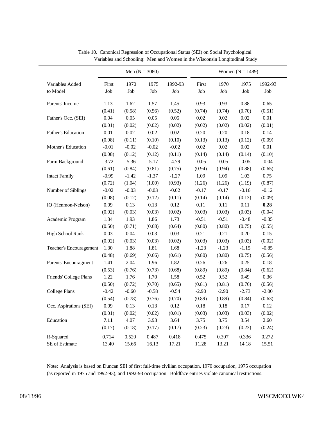|                             | Men $(N = 3080)$ |             |             | Women $(N = 1489)$ |              |             |             |                |  |
|-----------------------------|------------------|-------------|-------------|--------------------|--------------|-------------|-------------|----------------|--|
| Variables Added<br>to Model | First<br>Job     | 1970<br>Job | 1975<br>Job | 1992-93<br>Job     | First<br>Job | 1970<br>Job | 1975<br>Job | 1992-93<br>Job |  |
| Parents' Income             | 1.13             | 1.62        | 1.57        | 1.45               | 0.93         | 0.93        | $0.88\,$    | 0.65           |  |
|                             | (0.41)           | (0.58)      | (0.56)      | (0.52)             | (0.74)       | (0.74)      | (0.70)      | (0.51)         |  |
| Father's Occ. (SEI)         | 0.04             | 0.05        | 0.05        | 0.05               | 0.02         | $0.02\,$    | $0.02\,$    | $0.01\,$       |  |
|                             | (0.01)           | (0.02)      | (0.02)      | (0.02)             | (0.02)       | (0.02)      | (0.02)      | (0.01)         |  |
| Father's Education          | 0.01             | $0.02\,$    | $0.02\,$    | 0.02               | 0.20         | 0.20        | 0.18        | 0.14           |  |
|                             | (0.08)           | (0.11)      | (0.10)      | (0.10)             | (0.13)       | (0.13)      | (0.12)      | (0.09)         |  |
| Mother's Education          | $-0.01$          | $-0.02$     | $-0.02$     | $-0.02$            | 0.02         | $0.02\,$    | $0.02\,$    | $0.01\,$       |  |
|                             | (0.08)           | (0.12)      | (0.12)      | (0.11)             | (0.14)       | (0.14)      | (0.14)      | (0.10)         |  |
| Farm Background             | $-3.72$          | $-5.36$     | $-5.17$     | $-4.79$            | $-0.05$      | $-0.05$     | $-0.05$     | $-0.04$        |  |
|                             | (0.61)           | (0.84)      | (0.81)      | (0.75)             | (0.94)       | (0.94)      | (0.88)      | (0.65)         |  |
| <b>Intact Family</b>        | $-0.99$          | $-1.42$     | $-1.37$     | $-1.27$            | 1.09         | 1.09        | 1.03        | 0.75           |  |
|                             | (0.72)           | (1.04)      | (1.00)      | (0.93)             | (1.26)       | (1.26)      | (1.19)      | (0.87)         |  |
| Number of Siblings          | $-0.02$          | $-0.03$     | $-0.03$     | $-0.02$            | $-0.17$      | $-0.17$     | $-0.16$     | $-0.12$        |  |
|                             | (0.08)           | (0.12)      | (0.12)      | (0.11)             | (0.14)       | (0.14)      | (0.13)      | (0.09)         |  |
| IQ (Henmon-Nelson)          | 0.09             | 0.13        | 0.13        | 0.12               | 0.11         | 0.11        | 0.11        | 0.28           |  |
|                             | (0.02)           | (0.03)      | (0.03)      | (0.02)             | (0.03)       | (0.03)      | (0.03)      | (0.04)         |  |
| Academic Program            | 1.34             | 1.93        | 1.86        | 1.73               | $-0.51$      | $-0.51$     | $-0.48$     | $-0.35$        |  |
|                             | (0.50)           | (0.71)      | (0.68)      | (0.64)             | (0.80)       | (0.80)      | (0.75)      | (0.55)         |  |
| <b>High School Rank</b>     | 0.03             | 0.04        | 0.03        | 0.03               | 0.21         | 0.21        | 0.20        | 0.15           |  |
|                             | (0.02)           | (0.03)      | (0.03)      | (0.02)             | (0.03)       | (0.03)      | (0.03)      | (0.02)         |  |
| Teacher's Encouragement     | 1.30             | 1.88        | 1.81        | 1.68               | $-1.23$      | $-1.23$     | $-1.15$     | $-0.85$        |  |
|                             | (0.48)           | (0.69)      | (0.66)      | (0.61)             | (0.80)       | (0.80)      | (0.75)      | (0.56)         |  |
| Parents' Encouragment       | 1.41             | 2.04        | 1.96        | 1.82               | 0.26         | 0.26        | 0.25        | 0.18           |  |
|                             | (0.53)           | (0.76)      | (0.73)      | (0.68)             | (0.89)       | (0.89)      | (0.84)      | (0.62)         |  |
| Friends' College Plans      | 1.22             | 1.76        | 1.70        | 1.58               | 0.52         | 0.52        | 0.49        | 0.36           |  |
|                             | (0.50)           | (0.72)      | (0.70)      | (0.65)             | (0.81)       | (0.81)      | (0.76)      | (0.56)         |  |
| <b>College Plans</b>        | $-0.42$          | $-0.60$     | $-0.58$     | $-0.54$            | $-2.90$      | $-2.90$     | $-2.73$     | $-2.00$        |  |
|                             | (0.54)           | (0.78)      | (0.76)      | (0.70)             | (0.89)       | (0.89)      | (0.84)      | (0.63)         |  |
| Occ. Aspirations (SEI)      | 0.09             | 0.13        | 0.13        | 0.12               | 0.18         | 0.18        | 0.17        | 0.12           |  |
|                             | (0.01)           | (0.02)      | (0.02)      | (0.01)             | (0.03)       | (0.03)      | (0.03)      | (0.02)         |  |
| Education                   | 7.11             | 4.07        | 3.93        | 3.64               | 3.75         | 3.75        | 3.54        | 2.60           |  |
|                             | (0.17)           | (0.18)      | (0.17)      | (0.17)             | (0.23)       | (0.23)      | (0.23)      | (0.24)         |  |
| R-Squared                   | 0.714            | 0.520       | 0.487       | 0.418              | 0.475        | 0.397       | 0.336       | 0.272          |  |
| SE of Estimate              | 13.40            | 15.66       | 16.13       | 17.21              | 11.28        | 13.21       | 14.18       | 15.51          |  |

Table 10. Canonical Regression of Occupational Status (SEI) on Social Psychological Variables and Schooling: Men and Women in the Wisconsin Longitudinal Study

Note: Analysis is based on Duncan SEI of first full-time civilian occupation, 1970 occupation, 1975 occupation (as reported in 1975 and 1992-93), and 1992-93 occupation. Boldface entries violate canonical restrictions.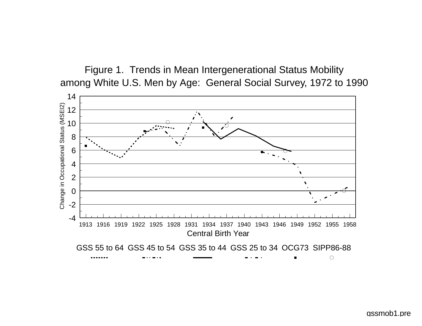Figure 1. Trends in Mean Intergenerational Status Mobility among White U.S. Men by Age: General Social Survey, 1972 to 1990

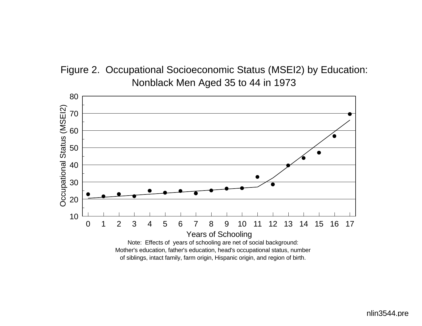



nlin3544.pre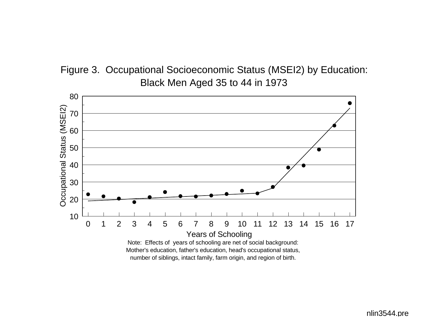



nlin3544.pre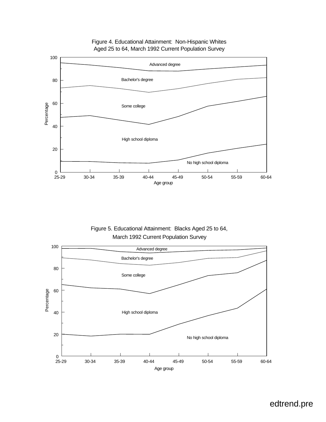

## Figure 4. Educational Attainment: Non-Hispanic Whites Aged 25 to 64, March 1992 Current Population Survey

Figure 5. Educational Attainment: Blacks Aged 25 to 64, March 1992 Current Population Survey

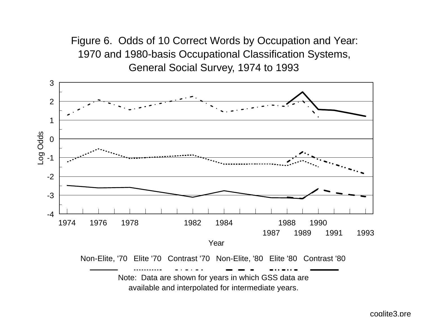Figure 6. Odds of 10 Correct Words by Occupation and Year: 1970 and 1980-basis Occupational Classification Systems, General Social Survey, 1974 to 1993



available and interpolated for intermediate years.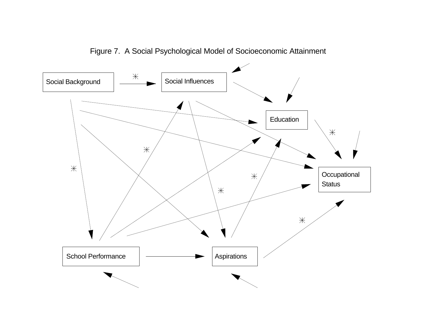

Figure 7. A Social Psychological Model of Socioeconomic Attainment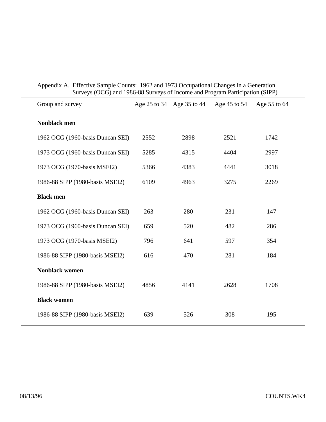| Group and survey                 |      |      | Age 25 to 34 Age 35 to 44 Age 45 to 54 | Age 55 to 64 |
|----------------------------------|------|------|----------------------------------------|--------------|
| Nonblack men                     |      |      |                                        |              |
| 1962 OCG (1960-basis Duncan SEI) | 2552 | 2898 | 2521                                   | 1742         |
| 1973 OCG (1960-basis Duncan SEI) | 5285 | 4315 | 4404                                   | 2997         |
| 1973 OCG (1970-basis MSEI2)      | 5366 | 4383 | 4441                                   | 3018         |
| 1986-88 SIPP (1980-basis MSEI2)  | 6109 | 4963 | 3275                                   | 2269         |
| <b>Black men</b>                 |      |      |                                        |              |
| 1962 OCG (1960-basis Duncan SEI) | 263  | 280  | 231                                    | 147          |
| 1973 OCG (1960-basis Duncan SEI) | 659  | 520  | 482                                    | 286          |
| 1973 OCG (1970-basis MSEI2)      | 796  | 641  | 597                                    | 354          |
| 1986-88 SIPP (1980-basis MSEI2)  | 616  | 470  | 281                                    | 184          |
| <b>Nonblack women</b>            |      |      |                                        |              |
| 1986-88 SIPP (1980-basis MSEI2)  | 4856 | 4141 | 2628                                   | 1708         |
| <b>Black women</b>               |      |      |                                        |              |
| 1986-88 SIPP (1980-basis MSEI2)  | 639  | 526  | 308                                    | 195          |
|                                  |      |      |                                        |              |

Appendix A. Effective Sample Counts: 1962 and 1973 Occupational Changes in a Generation Surveys (OCG) and 1986-88 Surveys of Income and Program Participation (SIPP)